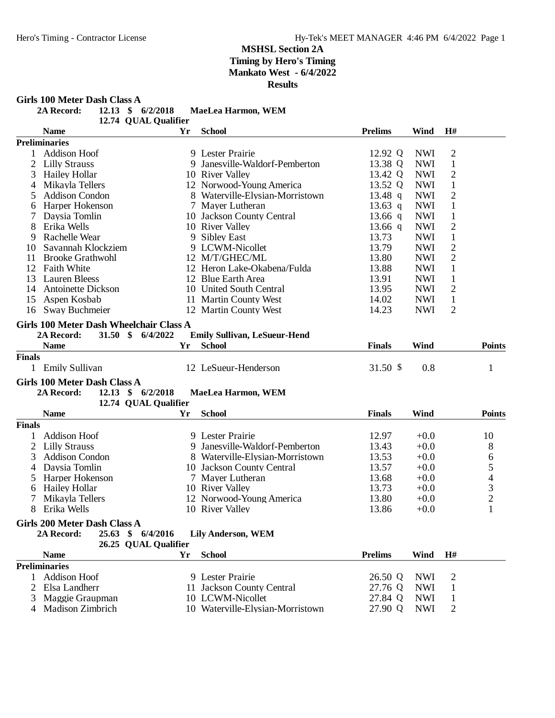**Girls 100 Meter Dash Class A**<br>2A Record: 12.13 \$

| <b>2A Record:</b> | MaeLea Harmon, WEM   |
|-------------------|----------------------|
|                   | 12.74 QUAL Qualifier |
|                   |                      |

|                | <b>Name</b>                                     | Yr       | <b>School</b>                       | <b>Prelims</b> | Wind       | H#             |                |
|----------------|-------------------------------------------------|----------|-------------------------------------|----------------|------------|----------------|----------------|
|                | <b>Preliminaries</b>                            |          |                                     |                |            |                |                |
| $\mathbf{1}$   | <b>Addison Hoof</b>                             |          | 9 Lester Prairie                    | 12.92 Q        | <b>NWI</b> | $\mathbf{2}$   |                |
| $\overline{2}$ | <b>Lilly Strauss</b>                            |          | 9 Janesville-Waldorf-Pemberton      | 13.38 Q        | <b>NWI</b> | $\mathbf{1}$   |                |
| 3              | <b>Hailey Hollar</b>                            |          | 10 River Valley                     | 13.42 Q        | <b>NWI</b> | $\mathfrak{2}$ |                |
| 4              | Mikayla Tellers                                 |          | 12 Norwood-Young America            | 13.52 Q        | <b>NWI</b> | $\mathbf{1}$   |                |
| 5              | <b>Addison Condon</b>                           |          | 8 Waterville-Elysian-Morristown     | 13.48 $q$      | <b>NWI</b> | $\overline{2}$ |                |
| 6              | Harper Hokenson                                 |          | 7 Mayer Lutheran                    | 13.63 q        | <b>NWI</b> | $\mathbf{1}$   |                |
|                | Daysia Tomlin                                   |          | 10 Jackson County Central           | 13.66 q        | <b>NWI</b> | $\mathbf{1}$   |                |
| 8              | Erika Wells                                     |          | 10 River Valley                     | 13.66 $q$      | <b>NWI</b> | $\overline{c}$ |                |
| 9              | Rachelle Wear                                   |          | 9 Sibley East                       | 13.73          | <b>NWI</b> | $\mathbf{1}$   |                |
| 10             | Savannah Klockziem                              |          | 9 LCWM-Nicollet                     | 13.79          | <b>NWI</b> | $\overline{c}$ |                |
| 11             | <b>Brooke Grathwohl</b>                         |          | 12 M/T/GHEC/ML                      | 13.80          | <b>NWI</b> | $\overline{2}$ |                |
| 12             | <b>Faith White</b>                              |          | 12 Heron Lake-Okabena/Fulda         | 13.88          | <b>NWI</b> | $\mathbf{1}$   |                |
| 13             | <b>Lauren Bleess</b>                            |          | 12 Blue Earth Area                  | 13.91          | <b>NWI</b> | $\mathbf{1}$   |                |
| 14             | <b>Antoinette Dickson</b>                       |          | 10 United South Central             | 13.95          | <b>NWI</b> | $\mathfrak{2}$ |                |
| 15             | Aspen Kosbab                                    |          | 11 Martin County West               | 14.02          | <b>NWI</b> | $\mathbf{1}$   |                |
|                | 16 Sway Buchmeier                               |          | 12 Martin County West               | 14.23          | <b>NWI</b> | $\overline{2}$ |                |
|                |                                                 |          |                                     |                |            |                |                |
|                | Girls 100 Meter Dash Wheelchair Class A         |          |                                     |                |            |                |                |
|                | $31.50*$<br>2A Record:                          | 6/4/2022 | <b>Emily Sullivan, LeSueur-Hend</b> |                |            |                |                |
|                | <b>Name</b>                                     | Yr       | <b>School</b>                       | <b>Finals</b>  | Wind       |                | <b>Points</b>  |
| <b>Finals</b>  |                                                 |          |                                     |                |            |                |                |
|                | 1 Emily Sullivan                                |          | 12 LeSueur-Henderson                | 31.50 \$       | 0.8        |                | $\mathbf{1}$   |
|                | Girls 100 Meter Dash Class A                    |          |                                     |                |            |                |                |
|                | 12.13 \$ 6/2/2018<br>2A Record:                 |          | MaeLea Harmon, WEM                  |                |            |                |                |
|                | 12.74 QUAL Qualifier                            |          |                                     |                |            |                |                |
|                | <b>Name</b>                                     | Yr       | <b>School</b>                       | <b>Finals</b>  | Wind       |                | <b>Points</b>  |
| <b>Finals</b>  |                                                 |          |                                     |                |            |                |                |
| $\mathbf{1}$   | <b>Addison Hoof</b>                             |          | 9 Lester Prairie                    | 12.97          | $+0.0$     |                | 10             |
| $\overline{2}$ | <b>Lilly Strauss</b>                            |          | 9 Janesville-Waldorf-Pemberton      | 13.43          | $+0.0$     |                | 8              |
| 3              | <b>Addison Condon</b>                           |          | 8 Waterville-Elysian-Morristown     | 13.53          | $+0.0$     |                | 6              |
| 4              | Daysia Tomlin                                   |          | 10 Jackson County Central           | 13.57          | $+0.0$     |                | $\mathfrak s$  |
| 5              | Harper Hokenson                                 |          | 7 Mayer Lutheran                    | 13.68          | $+0.0$     |                | $\overline{4}$ |
| 6              | <b>Hailey Hollar</b>                            |          | 10 River Valley                     | 13.73          | $+0.0$     |                |                |
| 7              | Mikayla Tellers                                 |          | 12 Norwood-Young America            | 13.80          | $+0.0$     |                | $\frac{3}{2}$  |
| 8              | Erika Wells                                     |          | 10 River Valley                     | 13.86          | $+0.0$     |                | $\mathbf{1}$   |
|                |                                                 |          |                                     |                |            |                |                |
|                | Girls 200 Meter Dash Class A                    |          |                                     |                |            |                |                |
|                | 2A Record: 25.63 \$ 6/4/2016 Lily Anderson, WEM |          |                                     |                |            |                |                |
|                | 26.25 QUAL Qualifier                            |          |                                     |                |            |                |                |
|                | <b>Name</b>                                     | Yr       | <b>School</b>                       | <b>Prelims</b> | Wind       | H#             |                |
|                | <b>Preliminaries</b>                            |          |                                     |                |            |                |                |
| 1              | <b>Addison Hoof</b>                             |          | 9 Lester Prairie                    | 26.50 Q        | <b>NWI</b> | 2              |                |
| 2              | Elsa Landherr                                   |          | 11 Jackson County Central           | 27.76 Q        | <b>NWI</b> | $\mathbf{1}$   |                |
| 3              | Maggie Graupman                                 |          | 10 LCWM-Nicollet                    | 27.84 Q        | <b>NWI</b> | 1              |                |
| 4              | Madison Zimbrich                                |          | 10 Waterville-Elysian-Morristown    | 27.90 Q        | <b>NWI</b> | 2              |                |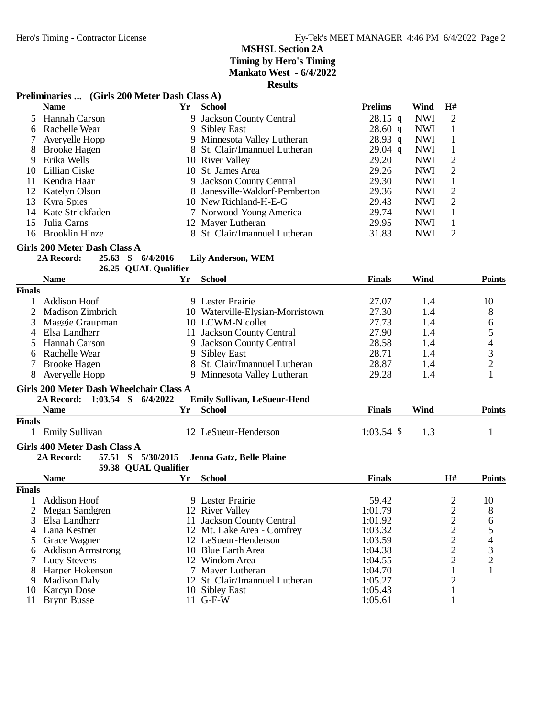#### **Preliminaries ... (Girls 200 Meter Dash Class A)**

|               | I FULLMATION $\cdots$ (OTHS 200 MULL Dash Class A) |                      |                                     |                |            |                |                |
|---------------|----------------------------------------------------|----------------------|-------------------------------------|----------------|------------|----------------|----------------|
|               | <b>Name</b>                                        |                      | Yr School                           | <b>Prelims</b> | Wind       | H#             |                |
|               | 5 Hannah Carson                                    |                      | 9 Jackson County Central            | $28.15$ q      | <b>NWI</b> | $\overline{2}$ |                |
|               | 6 Rachelle Wear                                    |                      | 9 Sibley East                       | 28.60 q        | <b>NWI</b> | $\mathbf{1}$   |                |
| 7             | Averyelle Hopp                                     |                      | 9 Minnesota Valley Lutheran         | $28.93$ q      | <b>NWI</b> | $\mathbf{1}$   |                |
| 8             | <b>Brooke Hagen</b>                                |                      | 8 St. Clair/Imannuel Lutheran       | $29.04$ q      | <b>NWI</b> | $\mathbf{1}$   |                |
| 9             | Erika Wells                                        |                      | 10 River Valley                     | 29.20          | <b>NWI</b> | $\mathbf{2}$   |                |
| 10            | Lillian Ciske                                      |                      | 10 St. James Area                   | 29.26          | <b>NWI</b> | $\overline{c}$ |                |
| 11            | Kendra Haar                                        |                      | 9 Jackson County Central            | 29.30          | <b>NWI</b> | $\mathbf{1}$   |                |
| 12            | <b>Katelyn Olson</b>                               |                      | 8 Janesville-Waldorf-Pemberton      | 29.36          | <b>NWI</b> | $\overline{c}$ |                |
| 13            | Kyra Spies                                         |                      | 10 New Richland-H-E-G               | 29.43          | <b>NWI</b> | $\sqrt{2}$     |                |
| 14            | Kate Strickfaden                                   |                      | 7 Norwood-Young America             | 29.74          | <b>NWI</b> | $\mathbf{1}$   |                |
|               | Julia Carns                                        |                      |                                     |                |            |                |                |
| 15            |                                                    |                      | 12 Mayer Lutheran                   | 29.95          | <b>NWI</b> | $\mathbf{1}$   |                |
| 16            | <b>Brooklin Hinze</b>                              |                      | 8 St. Clair/Imannuel Lutheran       | 31.83          | <b>NWI</b> | $\overline{2}$ |                |
|               | Girls 200 Meter Dash Class A                       |                      |                                     |                |            |                |                |
|               | 2A Record:                                         | 25.63 \$ 6/4/2016    | <b>Lily Anderson, WEM</b>           |                |            |                |                |
|               |                                                    | 26.25 QUAL Qualifier |                                     |                |            |                |                |
|               | <b>Name</b>                                        | Yr                   | <b>School</b>                       | <b>Finals</b>  | Wind       |                | <b>Points</b>  |
| Finals        |                                                    |                      |                                     |                |            |                |                |
| 1             | <b>Addison Hoof</b>                                |                      | 9 Lester Prairie                    | 27.07          | 1.4        |                | 10             |
| 2             | <b>Madison Zimbrich</b>                            |                      | 10 Waterville-Elysian-Morristown    | 27.30          |            |                |                |
|               |                                                    |                      |                                     |                | 1.4        |                | 8              |
| 3             | Maggie Graupman                                    |                      | 10 LCWM-Nicollet                    | 27.73          | 1.4        |                | 6              |
| 4             | Elsa Landherr                                      |                      | 11 Jackson County Central           | 27.90          | 1.4        |                | 5              |
| 5             | Hannah Carson                                      |                      | 9 Jackson County Central            | 28.58          | 1.4        |                | $\overline{4}$ |
| 6             | Rachelle Wear                                      |                      | 9 Sibley East                       | 28.71          | 1.4        |                | 3              |
| 7             | <b>Brooke Hagen</b>                                |                      | 8 St. Clair/Imannuel Lutheran       | 28.87          | 1.4        |                | $\overline{c}$ |
|               | 8 Averyelle Hopp                                   |                      | 9 Minnesota Valley Lutheran         | 29.28          | 1.4        |                | 1              |
|               | Girls 200 Meter Dash Wheelchair Class A            |                      |                                     |                |            |                |                |
|               | 2A Record: 1:03.54 \$ 6/4/2022                     |                      | <b>Emily Sullivan, LeSueur-Hend</b> |                |            |                |                |
|               | <b>Name</b>                                        | Yr                   | <b>School</b>                       | <b>Finals</b>  | Wind       |                | <b>Points</b>  |
|               |                                                    |                      |                                     |                |            |                |                |
| Finals        |                                                    |                      |                                     |                |            |                |                |
|               | 1 Emily Sullivan                                   |                      | 12 LeSueur-Henderson                | $1:03.54$ \$   | 1.3        |                | $\mathbf{1}$   |
|               | Girls 400 Meter Dash Class A                       |                      |                                     |                |            |                |                |
|               | 2A Record:                                         | 57.51 \$ 5/30/2015   | Jenna Gatz, Belle Plaine            |                |            |                |                |
|               |                                                    | 59.38 QUAL Qualifier |                                     |                |            |                |                |
|               | <b>Name</b>                                        | Yr                   | <b>School</b>                       | <b>Finals</b>  |            | H#             | <b>Points</b>  |
| <b>Finals</b> |                                                    |                      |                                     |                |            |                |                |
| 1             | <b>Addison Hoof</b>                                |                      | 9 Lester Prairie                    | 59.42          |            | $\overline{c}$ | 10             |
| 2             | Megan Sandgren                                     |                      | 12 River Valley                     | 1:01.79        |            | $\overline{c}$ | 8              |
| 3             | Elsa Landherr                                      |                      | 11 Jackson County Central           | 1:01.92        |            | $\mathbf{2}$   |                |
|               | Lana Kestner                                       |                      |                                     |                |            |                | 6              |
| 4             |                                                    |                      | 12 Mt. Lake Area - Comfrey          | 1:03.32        |            | 2              | 5              |
| 5             | Grace Wagner                                       |                      | 12 LeSueur-Henderson                | 1:03.59        |            | $\overline{c}$ | 4              |
| 6             | <b>Addison Armstrong</b>                           |                      | 10 Blue Earth Area                  | 1:04.38        |            | $\overline{c}$ | 3              |
| 7             | <b>Lucy Stevens</b>                                |                      | 12 Windom Area                      | 1:04.55        |            | $\overline{c}$ | $\overline{c}$ |
| 8             | Harper Hokenson                                    |                      | 7 Mayer Lutheran                    | 1:04.70        |            | $\mathbf{1}$   | 1              |
| 9             | <b>Madison Daly</b>                                |                      | 12 St. Clair/Imannuel Lutheran      | 1:05.27        |            | 2              |                |
| 10            | <b>Karcyn</b> Dose                                 |                      | 10 Sibley East                      | 1:05.43        |            | 1              |                |
| 11            | <b>Brynn Busse</b>                                 |                      | 11 G-F-W                            | 1:05.61        |            | 1              |                |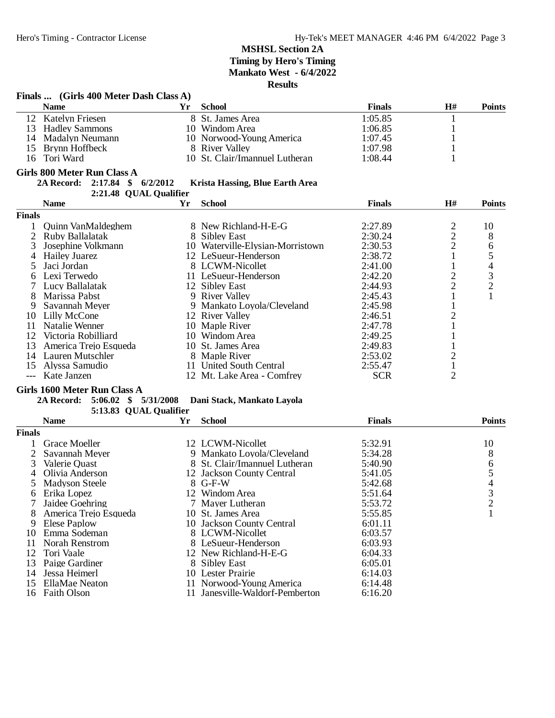|                | Finals  (Girls 400 Meter Dash Class A) |    |                                  |               |                |                |
|----------------|----------------------------------------|----|----------------------------------|---------------|----------------|----------------|
|                | <b>Name</b>                            | Yr | <b>School</b>                    | <b>Finals</b> | H#             | <b>Points</b>  |
|                | 12 Katelyn Friesen                     |    | 8 St. James Area                 | 1:05.85       | $\mathbf{1}$   |                |
|                | 13 Hadley Sammons                      |    | 10 Windom Area                   | 1:06.85       | $\mathbf{1}$   |                |
|                | 14 Madalyn Neumann                     |    | 10 Norwood-Young America         | 1:07.45       | 1              |                |
| 15             | Brynn Hoffbeck                         |    | 8 River Valley                   | 1:07.98       | 1              |                |
| 16             | Tori Ward                              |    | 10 St. Clair/Imannuel Lutheran   | 1:08.44       | 1              |                |
|                |                                        |    |                                  |               |                |                |
|                | <b>Girls 800 Meter Run Class A</b>     |    |                                  |               |                |                |
|                | 2A Record: 2:17.84 \$ 6/2/2012         |    | Krista Hassing, Blue Earth Area  |               |                |                |
|                | 2:21.48 QUAL Qualifier                 |    |                                  |               |                |                |
|                | <b>Name</b>                            | Yr | <b>School</b>                    | <b>Finals</b> | H#             | <b>Points</b>  |
| <b>Finals</b>  |                                        |    |                                  |               |                |                |
| $\mathbf{1}$   | Quinn VanMaldeghem                     |    | 8 New Richland-H-E-G             | 2:27.89       |                | 10             |
|                | 2 Ruby Ballalatak                      |    | 8 Sibley East                    | 2:30.24       | $\frac{2}{2}$  | 8              |
| 3              | Josephine Volkmann                     |    | 10 Waterville-Elysian-Morristown | 2:30.53       |                | 6              |
| 4              | <b>Hailey Juarez</b>                   |    | 12 LeSueur-Henderson             | 2:38.72       | $\mathbf{1}$   | $\mathfrak s$  |
| 5              | Jaci Jordan                            |    | 8 LCWM-Nicollet                  | 2:41.00       | $\mathbf{1}$   | $\overline{4}$ |
| 6              | Lexi Terwedo                           |    | 11 LeSueur-Henderson             | 2:42.20       | $\overline{c}$ |                |
| 7              | Lucy Ballalatak                        |    | 12 Sibley East                   | 2:44.93       | $\overline{c}$ | $\frac{3}{2}$  |
| 8              | Marissa Pabst                          |    | 9 River Valley                   | 2:45.43       | $\mathbf{1}$   | $\mathbf{1}$   |
| 9              | Savannah Meyer                         |    | 9 Mankato Loyola/Cleveland       | 2:45.98       | 1              |                |
| 10             | Lilly McCone                           |    | 12 River Valley                  | 2:46.51       | $\overline{c}$ |                |
|                |                                        |    | 10 Maple River                   |               |                |                |
| 11             | <b>Natalie Wenner</b>                  |    |                                  | 2:47.78       | $\mathbf{1}$   |                |
|                | 12 Victoria Robilliard                 |    | 10 Windom Area                   | 2:49.25       | $\mathbf{1}$   |                |
| 13             | America Trejo Esqueda                  |    | 10 St. James Area                | 2:49.83       | 1              |                |
|                | 14 Lauren Mutschler                    |    | 8 Maple River                    | 2:53.02       | $\overline{c}$ |                |
| 15             | Alyssa Samudio                         |    | 11 United South Central          | 2:55.47       | $\mathbf{1}$   |                |
|                | Kate Janzen                            |    | 12 Mt. Lake Area - Comfrey       | <b>SCR</b>    | $\overline{2}$ |                |
|                | Girls 1600 Meter Run Class A           |    |                                  |               |                |                |
|                | 2A Record: 5:06.02 \$ 5/31/2008        |    | Dani Stack, Mankato Layola       |               |                |                |
|                | 5:13.83 QUAL Qualifier                 |    |                                  |               |                |                |
|                | <b>Name</b>                            | Yr | <b>School</b>                    | <b>Finals</b> |                | <b>Points</b>  |
| <b>Finals</b>  |                                        |    |                                  |               |                |                |
| 1              | <b>Grace Moeller</b>                   |    | 12 LCWM-Nicollet                 | 5:32.91       |                | 10             |
| $\overline{2}$ | Savannah Meyer                         |    | 9 Mankato Loyola/Cleveland       | 5:34.28       |                | 8              |
| 3              | Valerie Ouast                          |    | 8 St. Clair/Imannuel Lutheran    | 5:40.90       |                | 6              |
| $\overline{4}$ | Olivia Anderson                        |    | 12 Jackson County Central        | 5:41.05       |                | 5              |
| 5              | <b>Madyson Steele</b>                  |    | 8 G-F-W                          | 5:42.68       |                | $\overline{4}$ |
| 6              | Erika Lopez                            |    | 12 Windom Area                   | 5:51.64       |                | 3              |
| 7              | Jaidee Goehring                        |    | 7 Mayer Lutheran                 | 5:53.72       |                | 2              |
| 8              | America Trejo Esqueda                  |    | 10 St. James Area                | 5:55.85       |                | 1              |
|                |                                        |    | 10 Jackson County Central        |               |                |                |
| 9              | Elese Paplow                           |    |                                  | 6:01.11       |                |                |
| 10             | Emma Sodeman                           |    | 8 LCWM-Nicollet                  | 6:03.57       |                |                |
| 11             | <b>Norah Renstrom</b>                  |    | 8 LeSueur-Henderson              | 6:03.93       |                |                |
| 12             | Tori Vaale                             |    | 12 New Richland-H-E-G            | 6:04.33       |                |                |
| 13             | Paige Gardiner                         |    | 8 Sibley East                    | 6:05.01       |                |                |
| 14             | Jessa Heimerl                          |    | 10 Lester Prairie                | 6:14.03       |                |                |
| 15             | <b>EllaMae Neaton</b>                  |    | 11 Norwood-Young America         | 6:14.48       |                |                |
| 16             | <b>Faith Olson</b>                     |    | 11 Janesville-Waldorf-Pemberton  | 6:16.20       |                |                |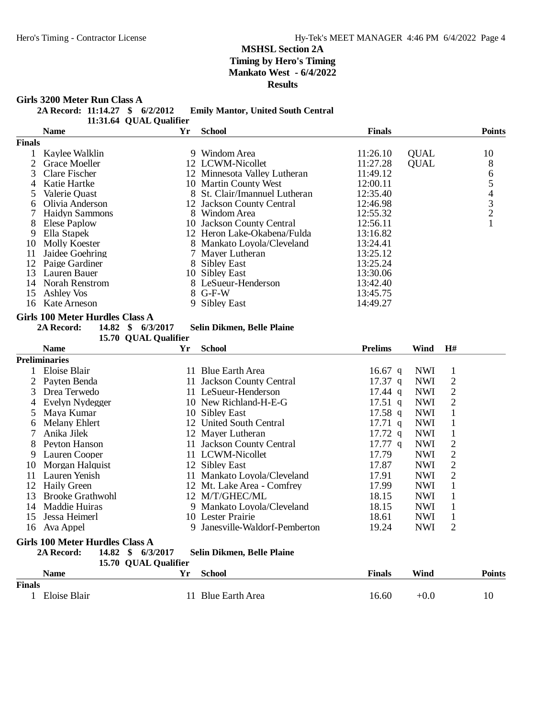**Girls 3200 Meter Run Class A**<br>2A Record: 11:14.27 \$ 6/2/2012 **22 Emily Mantor, United South Central** 

|  |  | 11:31.64 QUAL Qualifier |
|--|--|-------------------------|
|--|--|-------------------------|

|               | <b>Name</b>           | Yr | <b>School</b>                 | <b>Finals</b> |             | <b>Points</b>  |
|---------------|-----------------------|----|-------------------------------|---------------|-------------|----------------|
| <b>Finals</b> |                       |    |                               |               |             |                |
|               | Kaylee Walklin        |    | 9 Windom Area                 | 11:26.10      | <b>QUAL</b> | 10             |
|               | <b>Grace Moeller</b>  |    | 12 LCWM-Nicollet              | 11:27.28      | <b>QUAL</b> | 8              |
|               | 3 Clare Fischer       |    | 12 Minnesota Valley Lutheran  | 11:49.12      |             | 6              |
| 4             | Katie Hartke          |    | 10 Martin County West         | 12:00.11      |             |                |
|               | Valerie Quast         |    | 8 St. Clair/Imannuel Lutheran | 12:35.40      |             | 4              |
| 6             | Olivia Anderson       |    | 12 Jackson County Central     | 12:46.98      |             | 3              |
|               | <b>Haidyn Sammons</b> |    | 8 Windom Area                 | 12:55.32      |             | $\overline{2}$ |
| 8             | Elese Paplow          |    | 10 Jackson County Central     | 12:56.11      |             |                |
| 9             | Ella Stapek           |    | 12 Heron Lake-Okabena/Fulda   | 13:16.82      |             |                |
| 10            | Molly Koester         |    | 8 Mankato Loyola/Cleveland    | 13:24.41      |             |                |
| 11            | Jaidee Goehring       |    | 7 Mayer Lutheran              | 13:25.12      |             |                |
| 12            | Paige Gardiner        |    | 8 Sibley East                 | 13:25.24      |             |                |
| 13            | Lauren Bauer          |    | 10 Sibley East                | 13:30.06      |             |                |
| 14            | Norah Renstrom        |    | 8 LeSueur-Henderson           | 13:42.40      |             |                |
| 15            | Ashley Vos            |    | $8$ G-F-W                     | 13:45.75      |             |                |
| 16            | Kate Arneson          |    | 9 Sibley East                 | 14:49.27      |             |                |

## **Girls 100 Meter Hurdles Class A**<br>2A Record: **14.82** \$ 6/3/2017

Selin Dikmen, Belle Plaine

15.70 QUAL Qualifier

|               | <b>Name</b>                            | Yr  | <b>School</b>                 | <b>Prelims</b>    | Wind       | H#             |               |
|---------------|----------------------------------------|-----|-------------------------------|-------------------|------------|----------------|---------------|
|               | <b>Preliminaries</b>                   |     |                               |                   |            |                |               |
|               | Eloise Blair                           |     | 11 Blue Earth Area            | 16.67 q           | <b>NWI</b> | 1              |               |
|               | Payten Benda                           | 11. | <b>Jackson County Central</b> | $17.37$ q         | <b>NWI</b> | $\overline{c}$ |               |
| 3             | Drea Terwedo                           |     | 11 LeSueur-Henderson          | $17.44 \text{ q}$ | <b>NWI</b> | $\mathfrak{2}$ |               |
|               | Evelyn Nydegger                        |     | 10 New Richland-H-E-G         | $17.51$ q         | <b>NWI</b> | $\overline{2}$ |               |
| 5.            | Maya Kumar                             |     | 10 Sibley East                | $17.58$ q         | <b>NWI</b> | 1              |               |
| 6             | Melany Ehlert                          |     | 12 United South Central       | $17.71 \text{ q}$ | <b>NWI</b> |                |               |
|               | Anika Jilek                            |     | 12 Mayer Lutheran             | $17.72 \text{ q}$ | <b>NWI</b> |                |               |
| 8             | Peyton Hanson                          |     | 11 Jackson County Central     | 17.77 q           | <b>NWI</b> | $\overline{2}$ |               |
| 9             | Lauren Cooper                          |     | 11 LCWM-Nicollet              | 17.79             | <b>NWI</b> | $\overline{2}$ |               |
| 10            | Morgan Halquist                        |     | 12 Sibley East                | 17.87             | <b>NWI</b> | 2              |               |
| 11            | Lauren Yenish                          |     | 11 Mankato Loyola/Cleveland   | 17.91             | <b>NWI</b> | $\overline{2}$ |               |
| 12            | <b>Haily Green</b>                     |     | 12 Mt. Lake Area - Comfrey    | 17.99             | <b>NWI</b> |                |               |
| 13            | <b>Brooke Grathwohl</b>                |     | 12 M/T/GHEC/ML                | 18.15             | <b>NWI</b> |                |               |
| 14            | Maddie Huiras                          |     | 9 Mankato Loyola/Cleveland    | 18.15             | <b>NWI</b> |                |               |
| 15            | Jessa Heimerl                          |     | 10 Lester Prairie             | 18.61             | <b>NWI</b> | 1              |               |
| 16            | Ava Appel                              | 9.  | Janesville-Waldorf-Pemberton  | 19.24             | <b>NWI</b> | 2              |               |
|               | Girls 100 Meter Hurdles Class A        |     |                               |                   |            |                |               |
|               | 14.82<br>6/3/2017<br>2A Record:<br>SS. |     | Selin Dikmen, Belle Plaine    |                   |            |                |               |
|               | 15.70 QUAL Qualifier                   |     |                               |                   |            |                |               |
|               | <b>Name</b>                            | Yr  | <b>School</b>                 | <b>Finals</b>     | Wind       |                | <b>Points</b> |
| <b>Finals</b> |                                        |     |                               |                   |            |                |               |
|               | Eloise Blair                           | 11  | <b>Blue Earth Area</b>        | 16.60             | $+0.0$     |                | 10            |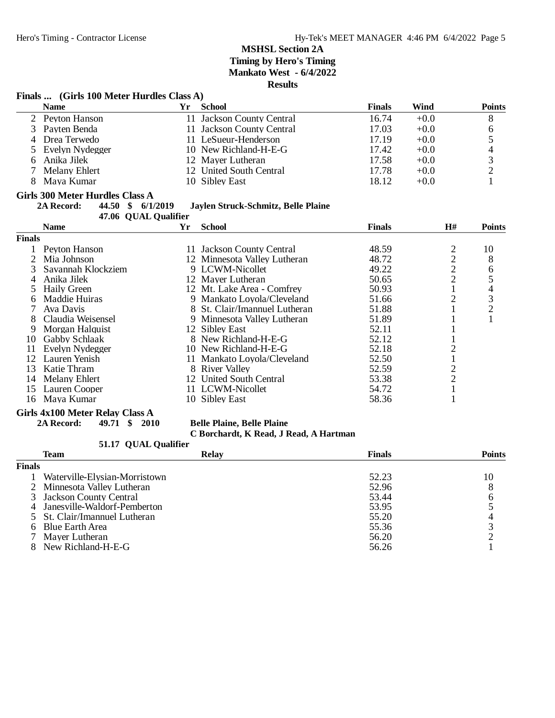#### **Finals ... (Girls 100 Meter Hurdles Class A)**

|    | <b>Name</b>       | Yг | School                    | <b>Finals</b> | Wind   | <b>Points</b> |
|----|-------------------|----|---------------------------|---------------|--------|---------------|
|    | 2 Peyton Hanson   |    | 11 Jackson County Central | 16.74         | $+0.0$ | 8             |
|    | 3 Payten Benda    |    | 11 Jackson County Central | 17.03         | $+0.0$ | 6             |
|    | 4 Drea Terwedo    |    | 11 LeSueur-Henderson      | 17.19         | $+0.0$ |               |
|    | 5 Evelyn Nydegger |    | 10 New Richland-H-E-G     | 17.42         | $+0.0$ | 4             |
| 6. | Anika Jilek       |    | 12 Mayer Lutheran         | 17.58         | $+0.0$ |               |
|    | Melany Ehlert     |    | 12 United South Central   | 17.78         | $+0.0$ |               |
|    | 8 Maya Kumar      |    | 10 Sibley East            | 18.12         | $+0.0$ |               |

# **Girls 300 Meter Hurdles Class A**<br>2A Record: **44.50** \$ 6/1/2019

**2A Record: 44.50 \$ 6/1/2019 Jaylen Struck-Schmitz, Belle Plaine**

**47.06 QUAL Qualifier**<br>Vr

|        | <b>Name</b>        | Yr | <b>School</b>                 | <b>Finals</b> | H# | <b>Points</b> |
|--------|--------------------|----|-------------------------------|---------------|----|---------------|
| Finals |                    |    |                               |               |    |               |
|        | Peyton Hanson      |    | 11 Jackson County Central     | 48.59         |    | 10            |
|        | Mia Johnson        |    | 12 Minnesota Valley Lutheran  | 48.72         | ↑  | 8             |
|        | Savannah Klockziem |    | 9 LCWM-Nicollet               | 49.22         | 2  | 6             |
| 4      | Anika Jilek        |    | 12 Mayer Lutheran             | 50.65         | 2  | 5             |
|        | Haily Green        |    | 12 Mt. Lake Area - Comfrey    | 50.93         |    | 4             |
| 6      | Maddie Huiras      |    | 9 Mankato Loyola/Cleveland    | 51.66         |    | 3             |
|        | Ava Davis          |    | 8 St. Clair/Imannuel Lutheran | 51.88         |    | 2             |
|        | Claudia Weisensel  |    | 9 Minnesota Valley Lutheran   | 51.89         |    |               |
| 9      | Morgan Halquist    |    | 12 Sibley East                | 52.11         |    |               |
| 10     | Gabby Schlaak      |    | 8 New Richland-H-E-G          | 52.12         |    |               |
| 11     | Evelyn Nydegger    |    | 10 New Richland-H-E-G         | 52.18         |    |               |
| 12     | Lauren Yenish      |    | 11 Mankato Loyola/Cleveland   | 52.50         |    |               |
| 13     | Katie Thram        |    | 8 River Valley                | 52.59         |    |               |
| 14     | Melany Ehlert      |    | 12 United South Central       | 53.38         | 2  |               |
| 15     | Lauren Cooper      |    | 11 LCWM-Nicollet              | 54.72         |    |               |
|        | 16 Maya Kumar      |    | 10 Sibley East                | 58.36         |    |               |

# **Girls 4x100 Meter Relay Class A**<br>2A Record: **49.71** \$2010

**2A Record: 49.71 \$ 2010 Belle Plaine, Belle Plaine**

#### **C Borchardt, K Read, J Read, A Hartman**

#### 51.17 QUAL Qualifier

|               | Team                           | <b>Relay</b> | <b>Finals</b> | <b>Points</b> |
|---------------|--------------------------------|--------------|---------------|---------------|
| <b>Finals</b> |                                |              |               |               |
|               | Waterville-Elysian-Morristown  |              | 52.23         | 10            |
|               | 2 Minnesota Valley Lutheran    |              | 52.96         |               |
|               | 3 Jackson County Central       |              | 53.44         |               |
|               | 4 Janesville-Waldorf-Pemberton |              | 53.95         |               |
|               | 5 St. Clair/Imannuel Lutheran  |              | 55.20         |               |
|               | 6 Blue Earth Area              |              | 55.36         |               |
|               | 7 Mayer Lutheran               |              | 56.20         |               |
|               | 8 New Richland-H-E-G           |              | 56.26         |               |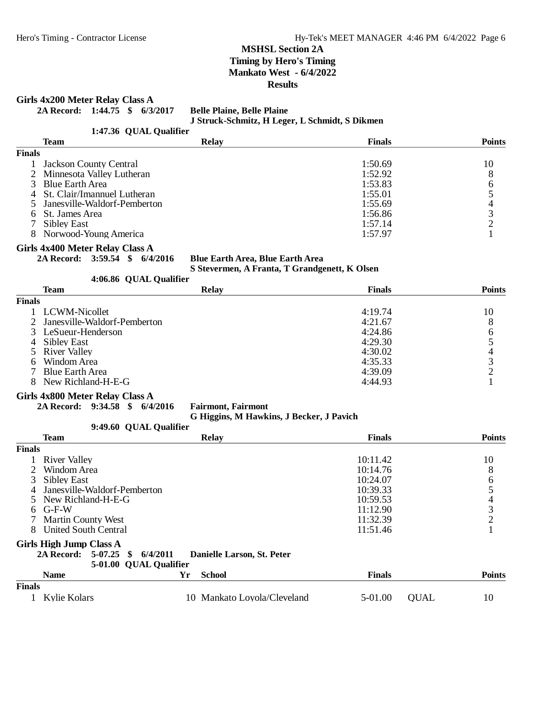**Girls 4x200 Meter Relay Class A**

**2A Record: 1:44.75 \$ 6/3/2017 Belle Plaine, Belle Plaine**

**J Struck-Schmitz, H Leger, L Schmidt, S Dikmen**

1:47.36 OUAL Qualifier

|               | Team                           | <b>Relay</b> | <b>Finals</b> | <b>Points</b> |
|---------------|--------------------------------|--------------|---------------|---------------|
| <b>Finals</b> |                                |              |               |               |
|               | <b>Jackson County Central</b>  |              | 1:50.69       | 10            |
|               | 2 Minnesota Valley Lutheran    |              | 1:52.92       |               |
|               | 3 Blue Earth Area              |              | 1:53.83       |               |
|               | 4 St. Clair/Imannuel Lutheran  |              | 1:55.01       |               |
|               | 5 Janesville-Waldorf-Pemberton |              | 1:55.69       |               |
|               | 6 St. James Area               |              | 1:56.86       |               |
|               | Sibley East                    |              | 1:57.14       |               |
|               | 8 Norwood-Young America        |              | 1:57.97       |               |

#### **Girls 4x400 Meter Relay Class A**

**2A Record: 3:59.54 \$ 6/4/2016 Blue Earth Area, Blue Earth Area**

**S Stevermen, A Franta, T Grandgenett, K Olsen 4.06.86 OUAL Qualifier** 

|               | <b>T.</b> 00.00 VUAL VUALIIEI  |              |               |               |
|---------------|--------------------------------|--------------|---------------|---------------|
|               | <b>Team</b>                    | <b>Relay</b> | <b>Finals</b> | <b>Points</b> |
| <b>Finals</b> |                                |              |               |               |
|               | LCWM-Nicollet                  |              | 4:19.74       | 10            |
|               | 2 Janesville-Waldorf-Pemberton |              | 4:21.67       | 8             |
|               | 3 LeSueur-Henderson            |              | 4:24.86       | 6             |
| 4             | Sibley East                    |              | 4:29.30       |               |
|               | 5 River Valley                 |              | 4:30.02       |               |
| 6             | Windom Area                    |              | 4:35.33       |               |
|               | <b>Blue Earth Area</b>         |              | 4:39.09       |               |
| 8             | New Richland-H-E-G             |              | 4:44.93       |               |
|               |                                |              |               |               |

#### **Girls 4x800 Meter Relay Class A**

**2A Record: 9:34.58 \$ 6/4/2016 Fairmont, Fairmont**

**G Higgins, M Hawkins, J Becker, J Pavich**

|                | 9:49.60 QUAL Qualifier                         |                            |               |               |
|----------------|------------------------------------------------|----------------------------|---------------|---------------|
|                | <b>Team</b>                                    | <b>Relay</b>               | <b>Finals</b> | <b>Points</b> |
| <b>Finals</b>  |                                                |                            |               |               |
|                | 1 River Valley                                 |                            | 10:11.42      | 10            |
|                | Windom Area                                    |                            | 10:14.76      | 8             |
|                | <b>Sibley East</b>                             |                            | 10:24.07      | 6             |
| $\overline{4}$ | Janesville-Waldorf-Pemberton                   |                            | 10:39.33      |               |
|                | 5 New Richland-H-E-G                           |                            | 10:59.53      | 4             |
|                | $6$ G-F-W                                      |                            | 11:12.90      | 3             |
|                | <b>Martin County West</b>                      |                            | 11:32.39      |               |
| 8              | United South Central                           |                            | 11:51.46      |               |
|                | Girls High Jump Class A                        |                            |               |               |
|                | 6/4/2011<br>2A Record: 5-07.25<br>$\mathbf{s}$ | Danielle Larson, St. Peter |               |               |

#### 5-01.00 QUAL Qualifier

|               | <b>Name</b>  | Yг | School                      | Finals  |      | Points |
|---------------|--------------|----|-----------------------------|---------|------|--------|
| <b>Finals</b> |              |    |                             |         |      |        |
|               | Kylie Kolars |    | 10 Mankato Loyola/Cleveland | 5-01.00 | OUAL | 10     |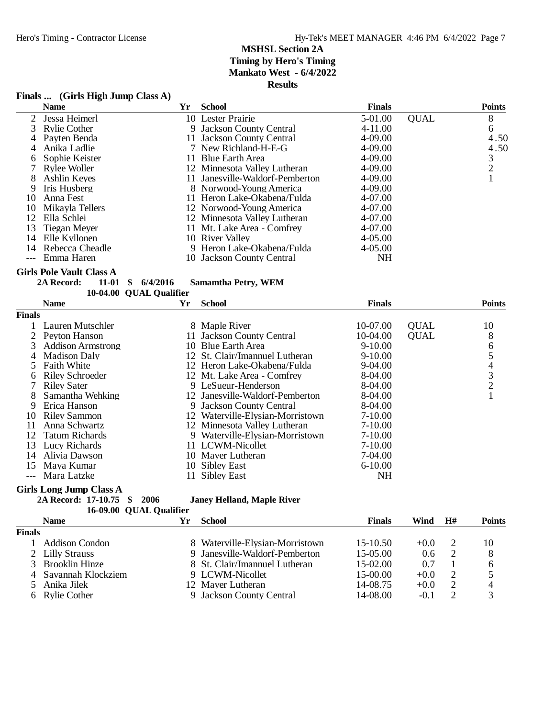|               | Finals  (Girls High Jump Class A) |                         |                                  |                          |             |               |
|---------------|-----------------------------------|-------------------------|----------------------------------|--------------------------|-------------|---------------|
|               | <b>Name</b>                       | Yr                      | <b>School</b>                    | <b>Finals</b>            |             | <b>Points</b> |
| 2             | Jessa Heimerl                     |                         | 10 Lester Prairie                | 5-01.00                  | <b>QUAL</b> | 8             |
| 3             | <b>Rylie Cother</b>               | 9                       | <b>Jackson County Central</b>    | 4-11.00                  |             | 6             |
| 4             | Payten Benda                      |                         | 11 Jackson County Central        | 4-09.00                  |             | 4.50          |
| 4             | Anika Ladlie                      |                         | 7 New Richland-H-E-G             | 4-09.00                  |             | 4.50          |
| 6             | Sophie Keister                    |                         | 11 Blue Earth Area               | 4-09.00                  |             | $\frac{3}{2}$ |
| 7             | <b>Rylee Woller</b>               |                         | 12 Minnesota Valley Lutheran     | 4-09.00                  |             |               |
| 8             | Ashlin Keyes                      |                         | 11 Janesville-Waldorf-Pemberton  | 4-09.00                  |             | $\mathbf{1}$  |
| 9             | Iris Husberg                      |                         | 8 Norwood-Young America          | 4-09.00                  |             |               |
| 10            | Anna Fest                         |                         | 11 Heron Lake-Okabena/Fulda      | 4-07.00                  |             |               |
| 10            | Mikayla Tellers                   |                         | 12 Norwood-Young America         | 4-07.00                  |             |               |
| 12            | Ella Schlei                       |                         | 12 Minnesota Valley Lutheran     | 4-07.00                  |             |               |
| 13            | <b>Tiegan Meyer</b>               |                         | 11 Mt. Lake Area - Comfrey       | 4-07.00                  |             |               |
| 14            | Elle Kyllonen                     |                         | 10 River Valley                  | $4 - 05.00$              |             |               |
| 14            | Rebecca Cheadle                   |                         | 9 Heron Lake-Okabena/Fulda       | $4 - 05.00$              |             |               |
| $---$         | Emma Haren                        |                         | 10 Jackson County Central        | <b>NH</b>                |             |               |
|               | <b>Girls Pole Vault Class A</b>   |                         |                                  |                          |             |               |
|               | 11-01<br>\$<br>2A Record:         | 6/4/2016                | <b>Samamtha Petry, WEM</b>       |                          |             |               |
|               |                                   | 10-04.00 QUAL Qualifier |                                  |                          |             |               |
|               | <b>Name</b>                       | Yr                      | <b>School</b>                    | <b>Finals</b>            |             | <b>Points</b> |
| <b>Finals</b> |                                   |                         |                                  |                          |             |               |
| 1             | Lauren Mutschler                  |                         | 8 Maple River                    | 10-07.00                 | <b>QUAL</b> | 10            |
| 2             | Peyton Hanson                     |                         | 11 Jackson County Central        | 10-04.00                 | <b>QUAL</b> | 8             |
| 3             | <b>Addison Armstrong</b>          |                         | 10 Blue Earth Area               | $9 - 10.00$              |             |               |
| 4             | <b>Madison Daly</b>               |                         | 12 St. Clair/Imannuel Lutheran   | $9 - 10.00$              |             |               |
| 5             | <b>Faith White</b>                |                         | 12 Heron Lake-Okabena/Fulda      | 9-04.00                  |             | 65432         |
| 6             | <b>Riley Schroeder</b>            |                         | 12 Mt. Lake Area - Comfrey       | 8-04.00                  |             |               |
| 7             | <b>Riley Sater</b>                |                         | 9 LeSueur-Henderson              | 8-04.00                  |             |               |
| 8             | Samantha Wehking                  |                         | 12 Janesville-Waldorf-Pemberton  | 8-04.00                  |             | $\mathbf{1}$  |
| 9             | Erica Hanson                      |                         | 9 Jackson County Central         | 8-04.00                  |             |               |
| 10            | <b>Riley Sammon</b>               |                         | 12 Waterville-Elysian-Morristown | $7 - 10.00$              |             |               |
| 11            | Anna Schwartz                     |                         | 12 Minnesota Valley Lutheran     | $7-10.00$                |             |               |
| 12            | <b>Tatum Richards</b>             |                         | 9 Waterville-Elysian-Morristown  | $7-10.00$                |             |               |
| 13            | <b>Lucy Richards</b>              |                         | 11 LCWM-Nicollet                 | $7 - 10.00$              |             |               |
| 14            | Alivia Dawson                     |                         | 10 Mayer Lutheran                | 7-04.00                  |             |               |
|               |                                   |                         |                                  |                          |             |               |
| 15            | Maya Kumar                        |                         | 10 Sibley East                   |                          |             |               |
|               | Mara Latzke                       | 11                      | <b>Sibley East</b>               | $6 - 10.00$<br><b>NH</b> |             |               |

**2A Record: 17-10.75 \$ 2006 Janey Helland, Maple River**

|               | 16-09.00 QUAL Qualifier |    |                                 |               |               |    |               |
|---------------|-------------------------|----|---------------------------------|---------------|---------------|----|---------------|
|               | <b>Name</b>             | Yr | School                          | <b>Finals</b> | Wind          | H# | <b>Points</b> |
| <b>Finals</b> |                         |    |                                 |               |               |    |               |
|               | Addison Condon          |    | 8 Waterville-Elysian-Morristown | $15-10.50$    | $+0.0$        |    | 10            |
|               | 2 Lilly Strauss         |    | 9 Janesville-Waldorf-Pemberton  | $15-05.00$    | $0.6^{\circ}$ |    | 8             |
|               | <b>Brooklin Hinze</b>   |    | 8 St. Clair/Imannuel Lutheran   | $15-02.00$    | 0.7           |    | 6             |
|               | 4 Savannah Klockziem    |    | 9 LCWM-Nicollet                 | $15-00.00$    | $+0.0$        |    |               |
|               | Anika Jilek             |    | 12 Mayer Lutheran               | 14-08.75      | $+0.0$        |    | 4             |
|               | 6 Rylie Cother          |    | 9 Jackson County Central        | 14-08.00      | $-0.1$        |    | $\mathbf 3$   |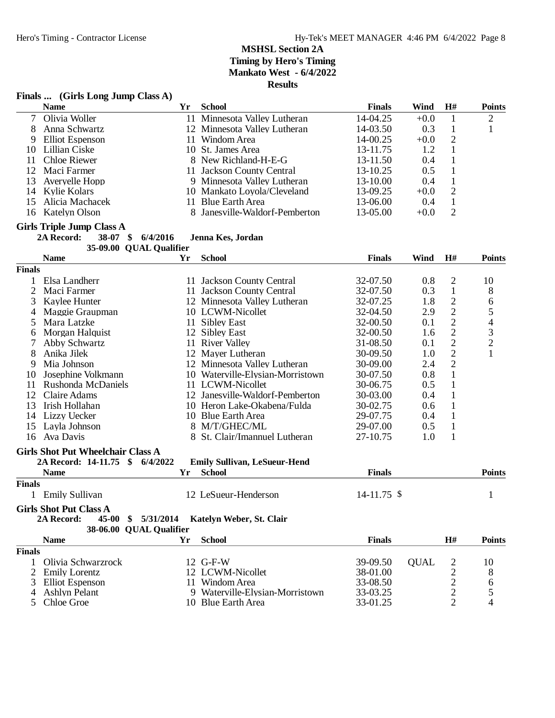#### **Finals ... (Girls Long Jump Class A)**

|               | <b>Name</b>                                    | Yr       | <b>School</b>                                        | <b>Finals</b>   | <b>Wind</b> | H#             | <b>Points</b>  |
|---------------|------------------------------------------------|----------|------------------------------------------------------|-----------------|-------------|----------------|----------------|
| 7             | Olivia Woller                                  |          | 11 Minnesota Valley Lutheran                         | 14-04.25        | $+0.0$      | $\mathbf{1}$   | $\mathbf{2}$   |
| 8             | Anna Schwartz                                  |          | 12 Minnesota Valley Lutheran                         | 14-03.50        | 0.3         | $\mathbf{1}$   | 1              |
| 9             | <b>Elliot</b> Espenson                         |          | 11 Windom Area                                       | 14-00.25        | $+0.0$      | $\overline{c}$ |                |
| 10            | Lillian Ciske                                  |          | 10 St. James Area                                    | 13-11.75        | 1.2         | $\mathbf 1$    |                |
| 11            | <b>Chloe Riewer</b>                            |          | 8 New Richland-H-E-G                                 | 13-11.50        | 0.4         | $\,1$          |                |
| 12            | Maci Farmer                                    |          | 11 Jackson County Central                            | 13-10.25        | 0.5         | $\mathbf 1$    |                |
| 13            | Averyelle Hopp                                 |          | 9 Minnesota Valley Lutheran                          | 13-10.00        | 0.4         | $\mathbf{1}$   |                |
| 14            | Kylie Kolars                                   |          | 10 Mankato Loyola/Cleveland                          | 13-09.25        | $+0.0$      | $\mathbf{2}$   |                |
| 15            | Alicia Machacek                                |          | 11 Blue Earth Area                                   | 13-06.00        | 0.4         | $\mathbf{1}$   |                |
|               | 16 Katelyn Olson                               |          | 8 Janesville-Waldorf-Pemberton                       | 13-05.00        | $+0.0$      | $\overline{2}$ |                |
|               | <b>Girls Triple Jump Class A</b>               |          |                                                      |                 |             |                |                |
|               | 2A Record:<br>38-07<br>$\mathbf{\$}$           | 6/4/2016 | Jenna Kes, Jordan                                    |                 |             |                |                |
|               | 35-09.00 QUAL Qualifier                        |          |                                                      |                 |             |                |                |
|               | <b>Name</b>                                    | Yr       | <b>School</b>                                        | <b>Finals</b>   | Wind        | H#             | <b>Points</b>  |
| <b>Finals</b> |                                                |          |                                                      |                 |             |                |                |
| 1             | Elsa Landherr                                  |          | 11 Jackson County Central                            | 32-07.50        | 0.8         | $\overline{2}$ | 10             |
| 2             | Maci Farmer                                    |          | 11 Jackson County Central                            | 32-07.50        | 0.3         | $\mathbf{1}$   | 8              |
| 3             | Kaylee Hunter                                  |          | 12 Minnesota Valley Lutheran                         | 32-07.25        | 1.8         | $\sqrt{2}$     | 6              |
| 4             | Maggie Graupman                                |          | 10 LCWM-Nicollet                                     | 32-04.50        | 2.9         | $\sqrt{2}$     | 5              |
| 5             | Mara Latzke                                    |          | 11 Sibley East                                       | 32-00.50        | 0.1         | $\sqrt{2}$     | $\overline{4}$ |
| 6             | Morgan Halquist                                |          | 12 Sibley East                                       | 32-00.50        | 1.6         | $\overline{2}$ |                |
| 7             | Abby Schwartz                                  |          | 11 River Valley                                      | 31-08.50        | 0.1         | $\overline{2}$ | $\frac{3}{2}$  |
| 8             | Anika Jilek                                    |          | 12 Mayer Lutheran                                    | 30-09.50        | 1.0         | $\overline{2}$ | $\mathbf{1}$   |
| 9             | Mia Johnson                                    |          | 12 Minnesota Valley Lutheran                         | 30-09.00        | 2.4         | $\overline{2}$ |                |
| 10            | Josephine Volkmann                             |          | 10 Waterville-Elysian-Morristown                     | 30-07.50        | 0.8         | $\mathbf{1}$   |                |
| 11            | Rushonda McDaniels                             |          | 11 LCWM-Nicollet                                     | 30-06.75        | 0.5         | $\mathbf{1}$   |                |
| 12            | Claire Adams                                   |          | 12 Janesville-Waldorf-Pemberton                      | 30-03.00        | 0.4         | $\mathbf{1}$   |                |
| 13            | Irish Hollahan                                 |          | 10 Heron Lake-Okabena/Fulda                          | 30-02.75        | 0.6         | $\mathbf{1}$   |                |
| 14            | Lizzy Uecker                                   |          | 10 Blue Earth Area                                   | 29-07.75        | 0.4         | $\mathbf{1}$   |                |
| 15            | Layla Johnson                                  |          | 8 M/T/GHEC/ML                                        | 29-07.00        | 0.5         | $\mathbf{1}$   |                |
| 16            | Ava Davis                                      |          | 8 St. Clair/Imannuel Lutheran                        | 27-10.75        | 1.0         | $\mathbf{1}$   |                |
|               |                                                |          |                                                      |                 |             |                |                |
|               | <b>Girls Shot Put Wheelchair Class A</b>       |          |                                                      |                 |             |                |                |
|               | 2A Record: 14-11.75 \$ 6/4/2022<br><b>Name</b> | Yr       | <b>Emily Sullivan, LeSueur-Hend</b><br><b>School</b> | <b>Finals</b>   |             |                | <b>Points</b>  |
| <b>Finals</b> |                                                |          |                                                      |                 |             |                |                |
|               | 1 Emily Sullivan                               |          | 12 LeSueur-Henderson                                 | $14 - 11.75$ \$ |             |                | $\mathbf{1}$   |
|               | <b>Girls Shot Put Class A</b>                  |          |                                                      |                 |             |                |                |
|               | 2A Record:<br>45-00 \$ 5/31/2014               |          | Katelyn Weber, St. Clair                             |                 |             |                |                |
|               | 38-06.00 QUAL Qualifier                        |          |                                                      |                 |             |                |                |
|               | <b>Name</b>                                    | Yr       | <b>School</b>                                        | <b>Finals</b>   |             | H#             | <b>Points</b>  |
| <b>Finals</b> |                                                |          |                                                      |                 |             |                |                |
| 1             | Olivia Schwarzrock                             |          | 12 G-F-W                                             | 39-09.50        | <b>QUAL</b> | 2              | 10             |
| 2             | <b>Emily Lorentz</b>                           |          | 12 LCWM-Nicollet                                     | 38-01.00        |             | $\overline{c}$ | 8              |
| 3             | <b>Elliot</b> Espenson                         |          | 11 Windom Area                                       | 33-08.50        |             | $\overline{c}$ | 6              |
| 4             | <b>Ashlyn Pelant</b>                           |          | 9 Waterville-Elysian-Morristown                      | 33-03.25        |             | $\overline{c}$ | 5              |
| 5             | Chloe Groe                                     |          | 10 Blue Earth Area                                   | 33-01.25        |             | $\overline{2}$ | 4              |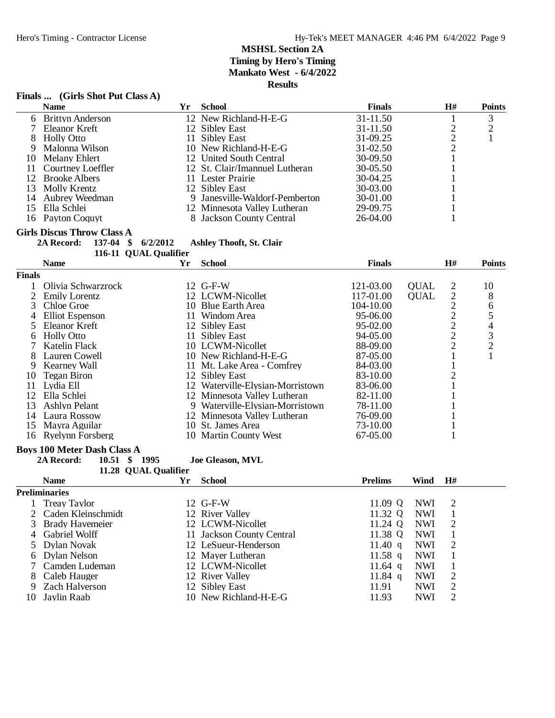### **Finals ... (Girls Shot Put Class A)**

|               | <b>Name</b>                                       | Yr | <b>School</b>                    | <b>Finals</b>  |             | $\mathbf{H}$ # | <b>Points</b>            |
|---------------|---------------------------------------------------|----|----------------------------------|----------------|-------------|----------------|--------------------------|
| 6             | <b>Brittyn Anderson</b>                           |    | 12 New Richland-H-E-G            | 31-11.50       |             | $\mathbf{1}$   | 3                        |
| 7             | Eleanor Kreft                                     |    | 12 Sibley East                   | 31-11.50       |             | $\sqrt{2}$     | $\overline{c}$           |
| 8             | <b>Holly Otto</b>                                 |    | 11 Sibley East                   | 31-09.25       |             | $\frac{2}{2}$  | $\mathbf{1}$             |
| 9             | Malonna Wilson                                    |    | 10 New Richland-H-E-G            | 31-02.50       |             |                |                          |
| 10            | <b>Melany Ehlert</b>                              |    | 12 United South Central          | 30-09.50       |             | $\mathbf{1}$   |                          |
| 11            | Courtney Loeffler                                 |    | 12 St. Clair/Imannuel Lutheran   | 30-05.50       |             | 1              |                          |
| 12            | <b>Brooke Albers</b>                              |    | 11 Lester Prairie                | 30-04.25       |             | $\mathbf{1}$   |                          |
| 13            | Molly Krentz                                      |    | 12 Sibley East                   | 30-03.00       |             | $\mathbf{1}$   |                          |
| 14            | Aubrey Weedman                                    |    | 9 Janesville-Waldorf-Pemberton   | 30-01.00       |             | $\mathbf{1}$   |                          |
| 15            | Ella Schlei                                       |    | 12 Minnesota Valley Lutheran     | 29-09.75       |             | $\mathbf{1}$   |                          |
|               | 16 Payton Coquyt                                  |    | 8 Jackson County Central         | 26-04.00       |             | $\mathbf{1}$   |                          |
|               | <b>Girls Discus Throw Class A</b>                 |    |                                  |                |             |                |                          |
|               | 137-04<br>6/2/2012<br>2A Record:<br>$\mathbf{\$}$ |    | <b>Ashley Thooft, St. Clair</b>  |                |             |                |                          |
|               | 116-11 QUAL Qualifier                             |    |                                  |                |             |                |                          |
|               | <b>Name</b>                                       | Yr | <b>School</b>                    | <b>Finals</b>  |             | H#             | <b>Points</b>            |
| <b>Finals</b> |                                                   |    |                                  |                |             |                |                          |
| 1             | Olivia Schwarzrock                                |    | 12 G-F-W                         | 121-03.00      | <b>QUAL</b> | $\overline{2}$ | 10                       |
| 2             | <b>Emily Lorentz</b>                              |    | 12 LCWM-Nicollet                 | 117-01.00      | <b>QUAL</b> | $\sqrt{2}$     | 8                        |
| 3             | Chloe Groe                                        |    | 10 Blue Earth Area               | 104-10.00      |             | $\overline{2}$ | 6                        |
| 4             | Elliot Espenson                                   |    | 11 Windom Area                   | 95-06.00       |             | $\sqrt{2}$     | 5                        |
| 5             | Eleanor Kreft                                     |    | 12 Sibley East                   | 95-02.00       |             | $\sqrt{2}$     | $\overline{\mathcal{A}}$ |
| 6             | <b>Holly Otto</b>                                 |    | 11 Sibley East                   | 94-05.00       |             | $\overline{c}$ | 3                        |
| 7             | Katelin Flack                                     |    | 10 LCWM-Nicollet                 | 88-09.00       |             | $\overline{c}$ | $\overline{c}$           |
| 8             | Lauren Cowell                                     |    | 10 New Richland-H-E-G            | 87-05.00       |             | $\mathbf{1}$   | $\mathbf{1}$             |
| 9             | <b>Kearney Wall</b>                               |    | 11 Mt. Lake Area - Comfrey       | 84-03.00       |             | $\mathbf{1}$   |                          |
| 10            | <b>Tegan Biron</b>                                |    | 12 Sibley East                   | 83-10.00       |             | 2              |                          |
| 11            | Lydia Ell                                         |    | 12 Waterville-Elysian-Morristown | 83-06.00       |             | $\mathbf{1}$   |                          |
| 12            | Ella Schlei                                       |    | 12 Minnesota Valley Lutheran     | 82-11.00       |             | $\mathbf{1}$   |                          |
| 13            | <b>Ashlyn Pelant</b>                              |    | 9 Waterville-Elysian-Morristown  | 78-11.00       |             | $\mathbf{1}$   |                          |
|               | 14 Laura Rossow                                   |    | 12 Minnesota Valley Lutheran     | 76-09.00       |             | 1              |                          |
| 15            | Mayra Aguilar                                     |    | 10 St. James Area                | 73-10.00       |             | $\mathbf{1}$   |                          |
| 16            | <b>Ryelynn Forsberg</b>                           |    | 10 Martin County West            | 67-05.00       |             | $\mathbf{1}$   |                          |
|               |                                                   |    |                                  |                |             |                |                          |
|               | <b>Boys 100 Meter Dash Class A</b>                |    |                                  |                |             |                |                          |
|               | 2A Record:<br>10.51 \$ 1995                       |    | Joe Gleason, MVL                 |                |             |                |                          |
|               | 11.28 QUAL Qualifier<br><b>Name</b>               | Yr | <b>School</b>                    | <b>Prelims</b> | Wind        | H#             |                          |
|               | <b>Preliminaries</b>                              |    |                                  |                |             |                |                          |
|               |                                                   |    | 12 G-F-W                         | 11.09 Q        | <b>NWI</b>  | $\overline{2}$ |                          |
| 1             | <b>Treay Taylor</b>                               |    |                                  |                |             |                |                          |
| 2             | Caden Kleinschmidt                                |    | 12 River Valley                  | 11.32 Q        | <b>NWI</b>  | $\mathbf{1}$   |                          |
| 3             | <b>Brady Havemeier</b>                            |    | 12 LCWM-Nicollet                 | 11.24 Q        | <b>NWI</b>  | $\sqrt{2}$     |                          |
| 4             | Gabriel Wolff                                     |    | 11 Jackson County Central        | 11.38 Q        | <b>NWI</b>  | $\mathbf{1}$   |                          |
| 5             | Dylan Novak                                       |    | 12 LeSueur-Henderson             | 11.40 $q$      | <b>NWI</b>  | $\overline{2}$ |                          |
| 6             | Dylan Nelson                                      |    | 12 Mayer Lutheran                | 11.58 $q$      | <b>NWI</b>  | 1              |                          |
| 7             | Camden Ludeman                                    |    | 12 LCWM-Nicollet                 | 11.64 q        | <b>NWI</b>  | 1              |                          |
| 8             | Caleb Hauger                                      |    | 12 River Valley                  | 11.84 $q$      | <b>NWI</b>  | $\mathfrak{2}$ |                          |
| 9             | <b>Zach Halverson</b>                             |    | 12 Sibley East                   | 11.91          | <b>NWI</b>  | $\mathbf{2}$   |                          |
| 10            | Jaylin Raab                                       |    | 10 New Richland-H-E-G            | 11.93          | <b>NWI</b>  | $\mathfrak{2}$ |                          |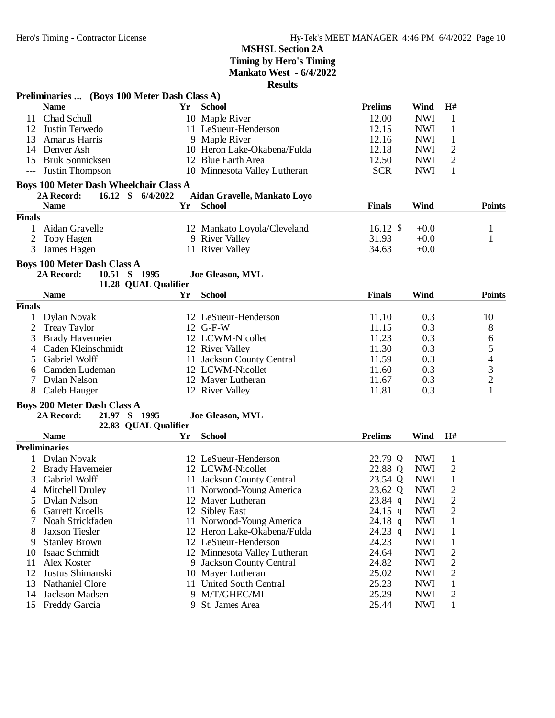|                | Preliminaries  (Boys 100 Meter Dash Class A)  |    |                              |                |            |                |               |
|----------------|-----------------------------------------------|----|------------------------------|----------------|------------|----------------|---------------|
|                | <b>Name</b>                                   | Yr | <b>School</b>                | <b>Prelims</b> | Wind       | H#             |               |
| 11             | Chad Schull                                   |    | 10 Maple River               | 12.00          | <b>NWI</b> | $\mathbf{1}$   |               |
| 12             | Justin Terwedo                                |    | 11 LeSueur-Henderson         | 12.15          | <b>NWI</b> | $\mathbf{1}$   |               |
| 13             | Amarus Harris                                 |    | 9 Maple River                | 12.16          | <b>NWI</b> | $\mathbf{1}$   |               |
|                | 14 Denver Ash                                 |    | 10 Heron Lake-Okabena/Fulda  | 12.18          | <b>NWI</b> | $\overline{c}$ |               |
| 15             | <b>Bruk Sonnicksen</b>                        |    | 12 Blue Earth Area           | 12.50          | <b>NWI</b> | $\mathfrak{2}$ |               |
| $---$          | Justin Thompson                               |    | 10 Minnesota Valley Lutheran | <b>SCR</b>     | <b>NWI</b> | $\mathbf{1}$   |               |
|                |                                               |    |                              |                |            |                |               |
|                | <b>Boys 100 Meter Dash Wheelchair Class A</b> |    |                              |                |            |                |               |
|                | $16.12*$<br>2A Record:<br>6/4/2022            |    | Aidan Gravelle, Mankato Loyo |                |            |                |               |
|                | <b>Name</b>                                   | Yr | <b>School</b>                | <b>Finals</b>  | Wind       |                | <b>Points</b> |
| <b>Finals</b>  |                                               |    |                              |                |            |                |               |
| 1              | Aidan Gravelle                                |    | 12 Mankato Loyola/Cleveland  | $16.12$ \$     | $+0.0$     |                | 1             |
| 2              | Toby Hagen                                    |    | 9 River Valley               | 31.93          | $+0.0$     |                | $\mathbf{1}$  |
| 3              | James Hagen                                   |    | 11 River Valley              | 34.63          | $+0.0$     |                |               |
|                | <b>Boys 100 Meter Dash Class A</b>            |    |                              |                |            |                |               |
|                | 10.51 \$ 1995<br>2A Record:                   |    | <b>Joe Gleason, MVL</b>      |                |            |                |               |
|                | 11.28 QUAL Qualifier                          |    |                              |                |            |                |               |
|                | <b>Name</b>                                   | Yr | <b>School</b>                | <b>Finals</b>  | Wind       |                | <b>Points</b> |
| <b>Finals</b>  |                                               |    |                              |                |            |                |               |
| $\mathbf{1}$   | Dylan Novak                                   |    | 12 LeSueur-Henderson         | 11.10          | 0.3        |                | 10            |
| $\overline{2}$ | <b>Treay Taylor</b>                           |    | 12 G-F-W                     | 11.15          | 0.3        |                | 8             |
| 3              | <b>Brady Havemeier</b>                        |    | 12 LCWM-Nicollet             | 11.23          | 0.3        |                | 6             |
| 4              | Caden Kleinschmidt                            |    | 12 River Valley              | 11.30          | 0.3        |                |               |
| 5              | Gabriel Wolff                                 |    | 11 Jackson County Central    | 11.59          | 0.3        |                |               |
|                | Camden Ludeman                                |    | 12 LCWM-Nicollet             | 11.60          | 0.3        |                |               |
| 6<br>7         | <b>Dylan Nelson</b>                           |    | 12 Mayer Lutheran            | 11.67          | 0.3        |                |               |
| 8              |                                               |    |                              | 11.81          | 0.3        |                | 54321         |
|                | Caleb Hauger                                  |    | 12 River Valley              |                |            |                |               |
|                | <b>Boys 200 Meter Dash Class A</b>            |    |                              |                |            |                |               |
|                | $21.97$ \$<br>1995<br>2A Record:              |    | Joe Gleason, MVL             |                |            |                |               |
|                | 22.83 QUAL Qualifier                          |    |                              |                |            |                |               |
|                | <b>Name</b>                                   | Yr | <b>School</b>                | <b>Prelims</b> | Wind       | H#             |               |
|                | <b>Preliminaries</b>                          |    |                              |                |            |                |               |
| $\mathbf{1}$   | Dylan Novak                                   |    | 12 LeSueur-Henderson         | 22.79 Q        | <b>NWI</b> | $\mathbf{1}$   |               |
|                | 2 Brady Havemeier                             |    | 12 LCWM-Nicollet             | 22.88 Q        | <b>NWI</b> | $\mathbf{2}$   |               |
| 3              | Gabriel Wolff                                 |    | 11 Jackson County Central    | 23.54 Q        | <b>NWI</b> | $\mathbf{1}$   |               |
| 4              | Mitchell Druley                               |    | 11 Norwood-Young America     | 23.62 Q        | <b>NWI</b> | $\overline{2}$ |               |
| C              | Dylan Nelson                                  |    | 12 Mayer Lutheran            | $23.84$ q      | <b>NWI</b> | 2              |               |
| 6              | <b>Garrett Kroells</b>                        |    | 12 Sibley East               | 24.15 q        | <b>NWI</b> | $\overline{c}$ |               |
| 7              | Noah Strickfaden                              |    | 11 Norwood-Young America     | 24.18 q        | <b>NWI</b> | 1              |               |
| 8              | <b>Jaxson Tiesler</b>                         |    | 12 Heron Lake-Okabena/Fulda  | 24.23 q        | <b>NWI</b> | $\mathbf{1}$   |               |
| 9              | <b>Stanley Brown</b>                          |    | 12 LeSueur-Henderson         | 24.23          | <b>NWI</b> | $\mathbf{1}$   |               |
| 10             | Isaac Schmidt                                 |    | 12 Minnesota Valley Lutheran | 24.64          | <b>NWI</b> | $\overline{c}$ |               |
| 11             | Alex Koster                                   |    | 9 Jackson County Central     | 24.82          | <b>NWI</b> | $\overline{c}$ |               |
| 12             | Justus Shimanski                              |    | 10 Mayer Lutheran            | 25.02          | <b>NWI</b> | $\overline{c}$ |               |
| 13             | Nathaniel Clore                               |    | 11 United South Central      | 25.23          | <b>NWI</b> | $\mathbf{1}$   |               |
| 14             | Jackson Madsen                                |    | 9 M/T/GHEC/ML                | 25.29          | <b>NWI</b> | 2              |               |
|                | 15 Freddy Garcia                              |    | 9 St. James Area             | 25.44          | <b>NWI</b> | 1              |               |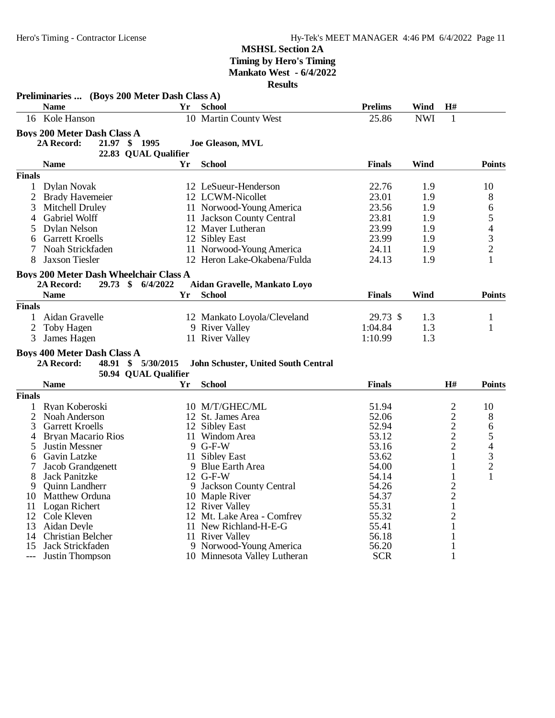|                | Preliminaries  (Boys 200 Meter Dash Class A)  |    |                                                     |                |            |                     |                                            |
|----------------|-----------------------------------------------|----|-----------------------------------------------------|----------------|------------|---------------------|--------------------------------------------|
|                | <b>Name</b>                                   | Yr | <b>School</b>                                       | <b>Prelims</b> | Wind       | H#                  |                                            |
|                | 16 Kole Hanson                                |    | 10 Martin County West                               | 25.86          | <b>NWI</b> | 1                   |                                            |
|                | <b>Boys 200 Meter Dash Class A</b>            |    |                                                     |                |            |                     |                                            |
|                | 21.97 \$ 1995<br>2A Record:                   |    | Joe Gleason, MVL                                    |                |            |                     |                                            |
|                | 22.83 QUAL Qualifier                          |    |                                                     |                |            |                     |                                            |
|                | <b>Name</b>                                   | Yr | <b>School</b>                                       | <b>Finals</b>  | Wind       |                     | <b>Points</b>                              |
| <b>Finals</b>  |                                               |    |                                                     |                |            |                     |                                            |
| 1              | Dylan Novak                                   |    | 12 LeSueur-Henderson                                | 22.76          | 1.9        |                     | 10                                         |
| 2              | <b>Brady Havemeier</b>                        |    | 12 LCWM-Nicollet                                    | 23.01          | 1.9        |                     | 8                                          |
| 3              | <b>Mitchell Druley</b>                        |    | 11 Norwood-Young America                            | 23.56          | 1.9        |                     | 6                                          |
| 4              | Gabriel Wolff                                 |    | 11 Jackson County Central                           | 23.81          | 1.9        |                     | 5                                          |
| 5              | Dylan Nelson                                  |    | 12 Mayer Lutheran                                   | 23.99          | 1.9        |                     |                                            |
| 6              | <b>Garrett Kroells</b>                        |    | 12 Sibley East                                      | 23.99          | 1.9        |                     | $\begin{array}{c} 4 \\ 3 \\ 2 \end{array}$ |
| 7              | Noah Strickfaden                              |    | 11 Norwood-Young America                            | 24.11          | 1.9        |                     |                                            |
| 8              | Jaxson Tiesler                                |    | 12 Heron Lake-Okabena/Fulda                         | 24.13          | 1.9        |                     | $\mathbf{1}$                               |
|                |                                               |    |                                                     |                |            |                     |                                            |
|                | <b>Boys 200 Meter Dash Wheelchair Class A</b> |    |                                                     |                |            |                     |                                            |
|                | 2A Record:<br>29.73 \$ 6/4/2022               |    | Aidan Gravelle, Mankato Loyo                        |                | Wind       |                     | <b>Points</b>                              |
|                | <b>Name</b>                                   | Yr | <b>School</b>                                       | <b>Finals</b>  |            |                     |                                            |
| <b>Finals</b>  |                                               |    |                                                     |                |            |                     |                                            |
| 1              | Aidan Gravelle                                |    | 12 Mankato Loyola/Cleveland                         | 29.73 \$       | 1.3        |                     | $\mathbf{1}$                               |
| $\overline{2}$ | Toby Hagen                                    |    | 9 River Valley                                      | 1:04.84        | 1.3        |                     | 1                                          |
| 3              | James Hagen                                   |    | 11 River Valley                                     | 1:10.99        | 1.3        |                     |                                            |
|                | <b>Boys 400 Meter Dash Class A</b>            |    |                                                     |                |            |                     |                                            |
|                | 2A Record:<br>48.91 \$ 5/30/2015              |    | John Schuster, United South Central                 |                |            |                     |                                            |
|                | 50.94 QUAL Qualifier                          |    |                                                     |                |            |                     |                                            |
|                | <b>Name</b>                                   | Yr | <b>School</b>                                       | <b>Finals</b>  |            | H#                  | <b>Points</b>                              |
| <b>Finals</b>  |                                               |    |                                                     |                |            |                     |                                            |
| 1              | Ryan Koberoski                                |    | 10 M/T/GHEC/ML                                      | 51.94          |            | $\overline{c}$      | 10                                         |
| 2              | Noah Anderson                                 |    | 12 St. James Area                                   | 52.06          |            | $\overline{c}$      | 8                                          |
| 3              | <b>Garrett Kroells</b>                        |    | 12 Sibley East                                      | 52.94          |            | $\overline{c}$      | 6                                          |
| 4              | <b>Bryan Macario Rios</b>                     |    | 11 Windom Area                                      | 53.12          |            | $\overline{c}$      | $\frac{5}{4}$<br>$\frac{3}{2}$             |
| 5              | <b>Justin Messner</b>                         |    | 9 G-F-W                                             | 53.16          |            | $\overline{c}$      |                                            |
| 6              | Gavin Latzke                                  |    | 11 Sibley East                                      | 53.62          |            | $\mathbf{1}$        |                                            |
| 7              | Jacob Grandgenett                             |    | 9 Blue Earth Area                                   | 54.00          |            | 1                   |                                            |
| 8              | Jack Panitzke                                 |    | $12$ G-F-W                                          | 54.14          |            | 1                   | $\mathbf{1}$                               |
| 9              | Quinn Landherr                                |    | 9 Jackson County Central                            | 54.26          |            | $\overline{c}$      |                                            |
|                | 10 Matthew Orduna                             |    | 10 Maple River                                      | 54.37          |            | $\overline{2}$      |                                            |
| 11             | Logan Richert                                 |    | 12 River Valley                                     | 55.31          |            | $\mathbf{1}$        |                                            |
|                | 12 Cole Kleven<br>Aidan Deyle                 |    | 12 Mt. Lake Area - Comfrey<br>11 New Richland-H-E-G | 55.32<br>55.41 |            | $\overline{2}$<br>1 |                                            |
| 13<br>14       | Christian Belcher                             |    | 11 River Valley                                     | 56.18          |            | 1                   |                                            |
| 15             | Jack Strickfaden                              |    | 9 Norwood-Young America                             | 56.20          |            | 1                   |                                            |
| ---            | Justin Thompson                               |    | 10 Minnesota Valley Lutheran                        | <b>SCR</b>     |            | 1                   |                                            |
|                |                                               |    |                                                     |                |            |                     |                                            |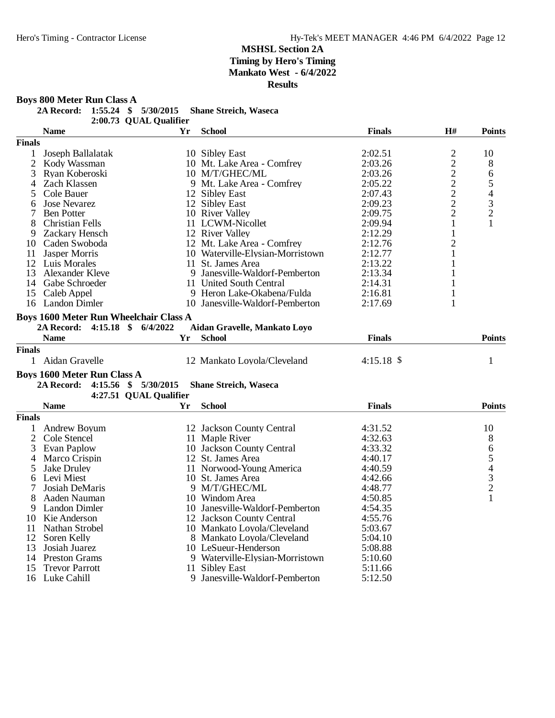**Boys 800 Meter Run Class A**

**2A Record: 1:55.24 \$ 5/30/2015 Shane Streich, Waseca**

2:00.73 QUAL Qualifier

|                | <b>Name</b>                                   | Yr | <b>School</b>                    | <b>Finals</b> | H#                                         | <b>Points</b>                              |
|----------------|-----------------------------------------------|----|----------------------------------|---------------|--------------------------------------------|--------------------------------------------|
| <b>Finals</b>  |                                               |    |                                  |               |                                            |                                            |
| 1              | Joseph Ballalatak                             |    | 10 Sibley East                   | 2:02.51       | $\overline{c}$                             | 10                                         |
| $\overline{2}$ | Kody Wassman                                  |    | 10 Mt. Lake Area - Comfrey       | 2:03.26       | $\overline{c}$                             | 8                                          |
| 3              | Ryan Koberoski                                |    | 10 M/T/GHEC/ML                   | 2:03.26       |                                            | 6                                          |
| 4              | Zach Klassen                                  |    | 9 Mt. Lake Area - Comfrey        | 2:05.22       | $\begin{array}{c} 2 \\ 2 \\ 2 \end{array}$ | 5                                          |
| 5              | Cole Bauer                                    |    | 12 Sibley East                   | 2:07.43       |                                            |                                            |
| 6              | <b>Jose Nevarez</b>                           |    | 12 Sibley East                   | 2:09.23       |                                            | $\begin{array}{c} 4 \\ 3 \\ 2 \end{array}$ |
| 7              | <b>Ben Potter</b>                             |    | 10 River Valley                  | 2:09.75       | $\overline{c}$                             |                                            |
| 8              | <b>Christian Fells</b>                        |    | 11 LCWM-Nicollet                 | 2:09.94       | $\mathbf{1}$                               | $\mathbf{1}$                               |
| 9              | Zackary Hensch                                |    | 12 River Valley                  | 2:12.29       | 1                                          |                                            |
| 10             | Caden Swoboda                                 |    | 12 Mt. Lake Area - Comfrey       | 2:12.76       | $\overline{c}$                             |                                            |
| 11             | Jasper Morris                                 |    | 10 Waterville-Elysian-Morristown | 2:12.77       | 1                                          |                                            |
|                | 12 Luis Morales                               |    | 11 St. James Area                | 2:13.22       | 1                                          |                                            |
| 13             | Alexander Kleve                               |    | 9 Janesville-Waldorf-Pemberton   | 2:13.34       | 1                                          |                                            |
|                | 14 Gabe Schroeder                             |    | 11 United South Central          | 2:14.31       | 1                                          |                                            |
| 15             | Caleb Appel                                   |    | 9 Heron Lake-Okabena/Fulda       | 2:16.81       | 1                                          |                                            |
|                | 16 Landon Dimler                              |    | 10 Janesville-Waldorf-Pemberton  | 2:17.69       | $\mathbf{1}$                               |                                            |
|                |                                               |    |                                  |               |                                            |                                            |
|                | <b>Boys 1600 Meter Run Wheelchair Class A</b> |    |                                  |               |                                            |                                            |
|                | 2A Record: 4:15.18 \$ 6/4/2022                |    | Aidan Gravelle, Mankato Loyo     |               |                                            |                                            |
|                | <b>Name</b>                                   | Yr | <b>School</b>                    | <b>Finals</b> |                                            | <b>Points</b>                              |
| <b>Finals</b>  |                                               |    |                                  |               |                                            |                                            |
|                | 1 Aidan Gravelle                              |    | 12 Mankato Loyola/Cleveland      | $4:15.18$ \$  |                                            | 1                                          |
|                | <b>Boys 1600 Meter Run Class A</b>            |    |                                  |               |                                            |                                            |
|                | 4:15.56 \$ 5/30/2015<br>2A Record:            |    | <b>Shane Streich, Waseca</b>     |               |                                            |                                            |
|                | 4:27.51 QUAL Qualifier                        |    |                                  |               |                                            |                                            |
|                | <b>Name</b>                                   | Yr | <b>School</b>                    | <b>Finals</b> |                                            | <b>Points</b>                              |
| <b>Finals</b>  |                                               |    |                                  |               |                                            |                                            |
| 1              | Andrew Boyum                                  |    | 12 Jackson County Central        | 4:31.52       |                                            | 10                                         |
| 2              | Cole Stencel                                  |    | 11 Maple River                   | 4:32.63       |                                            | 8                                          |
| 3              | Evan Paplow                                   |    | 10 Jackson County Central        | 4:33.32       |                                            |                                            |
| 4              | Marco Crispin                                 |    | 12 St. James Area                | 4:40.17       |                                            | 65432                                      |
| 5              | Jake Druley                                   |    | 11 Norwood-Young America         | 4:40.59       |                                            |                                            |
| 6              | Levi Miest                                    |    | 10 St. James Area                | 4:42.66       |                                            |                                            |
| 7              | Josiah DeMaris                                |    | 9 M/T/GHEC/ML                    | 4:48.77       |                                            |                                            |
| 8              | Aaden Nauman                                  |    | 10 Windom Area                   | 4:50.85       |                                            | $\mathbf{1}$                               |
| 9              | <b>Landon Dimler</b>                          |    | 10 Janesville-Waldorf-Pemberton  | 4:54.35       |                                            |                                            |
| 10             | Kie Anderson                                  |    | 12 Jackson County Central        | 4:55.76       |                                            |                                            |
| 11             | Nathan Strobel                                |    | 10 Mankato Loyola/Cleveland      | 5:03.67       |                                            |                                            |
| 12             | Soren Kelly                                   |    | 8 Mankato Loyola/Cleveland       | 5:04.10       |                                            |                                            |
| 13             | Josiah Juarez                                 |    | 10 LeSueur-Henderson             | 5:08.88       |                                            |                                            |
| 14             | <b>Preston Grams</b>                          |    | 9 Waterville-Elysian-Morristown  | 5:10.60       |                                            |                                            |
| 15             | <b>Trevor Parrott</b>                         |    | 11 Sibley East                   | 5:11.66       |                                            |                                            |
|                | 16 Luke Cahill                                |    | 9 Janesville-Waldorf-Pemberton   | 5:12.50       |                                            |                                            |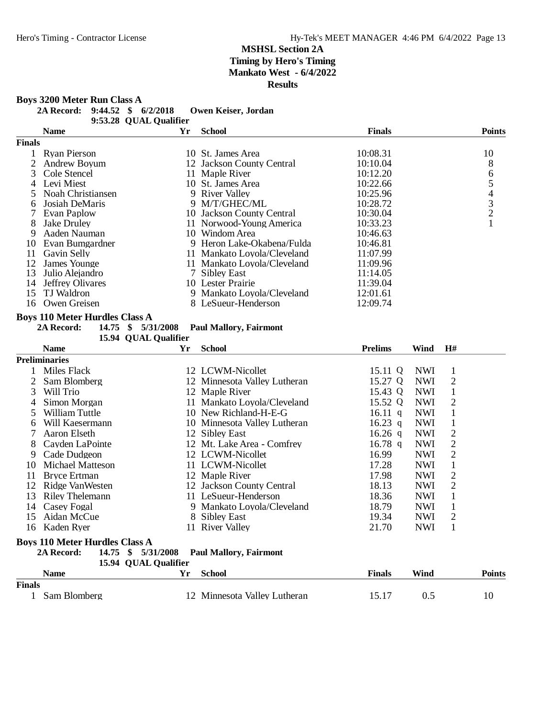**Boys 3200 Meter Run Class A**

**2A Record: 9:44.52 \$ 6/2/2018 Owen Keiser, Jordan**

9:53.28 QUAL Qualifier

|        | <b>Name</b>             | Yr | School                      | <b>Finals</b> | <b>Points</b>  |
|--------|-------------------------|----|-----------------------------|---------------|----------------|
| Finals |                         |    |                             |               |                |
|        | Ryan Pierson            |    | 10 St. James Area           | 10:08.31      | 10             |
|        | <b>Andrew Boyum</b>     |    | 12 Jackson County Central   | 10:10.04      | 8              |
| 3      | Cole Stencel            |    | 11 Maple River              | 10:12.20      | 6              |
| 4      | Levi Miest              |    | 10 St. James Area           | 10:22.66      |                |
|        | Noah Christiansen       |    | 9 River Valley              | 10:25.96      | 4              |
| 6      | Josiah DeMaris          |    | 9 M/T/GHEC/ML               | 10:28.72      | 3              |
|        | Evan Paplow             |    | 10 Jackson County Central   | 10:30.04      | $\overline{2}$ |
| 8      | Jake Drulev             |    | 11 Norwood-Young America    | 10:33.23      |                |
| 9      | Aaden Nauman            |    | 10 Windom Area              | 10:46.63      |                |
| 10     | Evan Bumgardner         |    | 9 Heron Lake-Okabena/Fulda  | 10:46.81      |                |
| 11     | Gavin Selly             |    | 11 Mankato Loyola/Cleveland | 11:07.99      |                |
| 12     | James Younge            | 11 | Mankato Loyola/Cleveland    | 11:09.96      |                |
| 13     | Julio Alejandro         |    | 7 Siblev East               | 11:14.05      |                |
| 14     | <b>Jeffrey Olivares</b> |    | 10 Lester Prairie           | 11:39.04      |                |
| 15     | TJ Waldron              |    | 9 Mankato Loyola/Cleveland  | 12:01.61      |                |
| 16     | Owen Greisen            |    | 8 LeSueur-Henderson         | 12:09.74      |                |

#### **Boys 110 Meter Hurdles Class A**

**2A Record: 14.75 \$ 5/31/2008 Paul Mallory, Fairmont**

15.94 QUAL Qualifier

|              | <b>Name</b>                           | Yr                         | <b>School</b>                 | <b>Prelims</b> | Wind       | H#             |  |
|--------------|---------------------------------------|----------------------------|-------------------------------|----------------|------------|----------------|--|
|              | <b>Preliminaries</b>                  |                            |                               |                |            |                |  |
|              | Miles Flack                           |                            | 12 LCWM-Nicollet              | 15.11 Q        | <b>NWI</b> | 1              |  |
|              | Sam Blomberg                          |                            | 12 Minnesota Valley Lutheran  | 15.27 Q        | <b>NWI</b> | 2              |  |
| 3            | Will Trio                             |                            | 12 Maple River                | 15.43 Q        | <b>NWI</b> | 1              |  |
| 4            | Simon Morgan                          |                            | 11 Mankato Loyola/Cleveland   | 15.52 Q        | NWI        | 2              |  |
| 5            | William Tuttle                        |                            | 10 New Richland-H-E-G         | 16.11 $q$      | <b>NWI</b> |                |  |
| <sub>6</sub> | Will Kaesermann                       |                            | 10 Minnesota Valley Lutheran  | 16.23 q        | <b>NWI</b> |                |  |
|              | Aaron Elseth                          |                            | 12 Sibley East                | 16.26 q        | <b>NWI</b> | 2              |  |
| 8            | Cayden LaPointe                       |                            | 12 Mt. Lake Area - Comfrey    | 16.78 q        | <b>NWI</b> | 2              |  |
| 9            | Cade Dudgeon                          |                            | 12 LCWM-Nicollet              | 16.99          | <b>NWI</b> | $\overline{2}$ |  |
| 10           | Michael Matteson                      |                            | 11 LCWM-Nicollet              | 17.28          | NWI        | 1              |  |
| 11           | <b>Bryce Ertman</b>                   |                            | 12 Maple River                | 17.98          | <b>NWI</b> | 2              |  |
| 12           | Ridge VanWesten                       |                            | 12 Jackson County Central     | 18.13          | <b>NWI</b> | 2              |  |
| 13           | <b>Riley Thelemann</b>                |                            | 11 LeSueur-Henderson          | 18.36          | <b>NWI</b> |                |  |
| 14           | Casey Fogal                           |                            | 9 Mankato Loyola/Cleveland    | 18.79          | <b>NWI</b> | 1              |  |
| 15           | Aidan McCue                           |                            | 8 Sibley East                 | 19.34          | <b>NWI</b> | 2              |  |
| 16           | Kaden Ryer                            |                            | 11 River Valley               | 21.70          | <b>NWI</b> | 1              |  |
|              | <b>Boys 110 Meter Hurdles Class A</b> |                            |                               |                |            |                |  |
|              | 2A Record:<br>14.75                   | 5/31/2008<br>$\mathbf{\$}$ | <b>Paul Mallory, Fairmont</b> |                |            |                |  |
|              |                                       | 15.94 QUAL Qualifier       |                               |                |            |                |  |

|        | Name         | v. | .school                   | Finals | Wind | <b>Points</b> |
|--------|--------------|----|---------------------------|--------|------|---------------|
| Finals |              |    |                           |        |      |               |
|        | Sam Blomberg |    | Minnesota Valley Lutheran | 19.1   |      | 10            |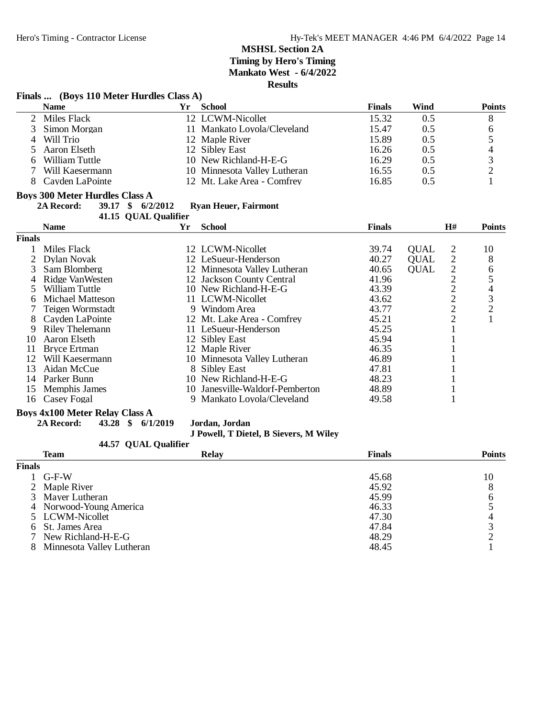|               | Finals  (Boys 110 Meter Hurdles Class A) |                      |                              |               |             |                |                |
|---------------|------------------------------------------|----------------------|------------------------------|---------------|-------------|----------------|----------------|
|               | <b>Name</b>                              | Yr.                  | <b>School</b>                | <b>Finals</b> | Wind        |                | <b>Points</b>  |
| 2             | Miles Flack                              |                      | 12 LCWM-Nicollet             | 15.32         | 0.5         |                | 8              |
| 3             | Simon Morgan                             |                      | 11 Mankato Loyola/Cleveland  | 15.47         | 0.5         |                | 6              |
| 4             | Will Trio                                |                      | 12 Maple River               | 15.89         | 0.5         |                | 5              |
| 5             | Aaron Elseth                             |                      | 12 Sibley East               | 16.26         | 0.5         |                | $\overline{4}$ |
| 6             | William Tuttle                           |                      | 10 New Richland-H-E-G        | 16.29         | 0.5         |                | $\frac{3}{2}$  |
| 7             | Will Kaesermann                          |                      | 10 Minnesota Valley Lutheran | 16.55         | 0.5         |                |                |
| 8             | Cayden LaPointe                          |                      | 12 Mt. Lake Area - Comfrey   | 16.85         | 0.5         |                | 1              |
|               | <b>Boys 300 Meter Hurdles Class A</b>    |                      |                              |               |             |                |                |
|               | 2A Record:                               | 39.17 \$ 6/2/2012    | <b>Ryan Heuer, Fairmont</b>  |               |             |                |                |
|               |                                          | 41.15 QUAL Qualifier |                              |               |             |                |                |
|               | <b>Name</b>                              | Yr                   | <b>School</b>                | <b>Finals</b> |             | H#             | <b>Points</b>  |
| <b>Finals</b> |                                          |                      |                              |               |             |                |                |
|               | Miles Flack                              |                      | 12 LCWM-Nicollet             | 39.74         | <b>OUAL</b> | $\overline{2}$ | 10             |
| 2             | Dylan Novak                              |                      | 12 LeSueur-Henderson         | 40.27         | OUAL        | $\sqrt{2}$     | 8              |
| 3             | Sam Blomberg                             |                      | 12 Minnesota Valley Lutheran | 40.65         | <b>QUAL</b> | $\overline{c}$ | 6              |
| 4             | Ridge VanWesten                          |                      | 12 Jackson County Central    | 41.96         |             | $\overline{2}$ | 5              |
| 5             | William Tuttle                           |                      | 10 New Richland-H-E-G        | 43.39         |             | $\overline{2}$ | $\overline{4}$ |
| 6             | <b>Michael Matteson</b>                  |                      | 11 LCWM-Nicollet             | 43.62         |             | $\overline{c}$ | 3              |
|               | Teigen Wormstadt                         |                      | 9 Windom Area                | 43.77         |             | $\frac{2}{2}$  | $\frac{2}{1}$  |
| 8             | Cayden LaPointe                          |                      | 12 Mt. Lake Area - Comfrey   | 45.21         |             |                |                |
| 9             | <b>Riley Thelemann</b>                   |                      | 11 LeSueur-Henderson         | 45.25         |             | $\mathbf{1}$   |                |
| 10            | Aaron Elseth                             |                      | 12 Sibley East               | 45.94         |             |                |                |
| 11            | <b>Bryce Ertman</b>                      |                      | 12 Maple River               | 46.35         |             |                |                |
| 12            | Will Kaesermann                          |                      | 10 Minnesota Valley Lutheran | 46.89         |             |                |                |
| 13            | Aidan McCue                              |                      | 8 Sibley East                | 47.81         |             |                |                |
| 14            | Parker Bunn                              |                      | 10 New Richland-H-E-G        | 48.23         |             |                |                |
| 15            | Memphis James                            | 10.                  | Janesville-Waldorf-Pemberton | 48.89         |             |                |                |
| 16            | Casey Fogal                              | 9                    | Mankato Loyola/Cleveland     | 49.58         |             |                |                |

# **Boys 4x100 Meter Relay Class A**<br>2A Record: 43.28 \$ 6/1

**2A Record: 43.28 \$ 6/1/2019 Jordan, Jordan**

#### **J Powell, T Dietel, B Sievers, M Wiley**

|               | 44.57 QUAL Qualifier      |              |               |               |
|---------------|---------------------------|--------------|---------------|---------------|
|               | Team                      | <b>Relay</b> | <b>Finals</b> | <b>Points</b> |
| <b>Finals</b> |                           |              |               |               |
|               | $G-F-W$                   |              | 45.68         | 10            |
|               | 2 Maple River             |              | 45.92         | 8             |
|               | 3 Mayer Lutheran          |              | 45.99         | 6             |
|               | 4 Norwood-Young America   |              | 46.33         |               |
|               | 5 LCWM-Nicollet           |              | 47.30         |               |
|               | 6 St. James Area          |              | 47.84         |               |
|               | 7 New Richland-H-E-G      |              | 48.29         |               |
|               | Minnesota Valley Lutheran |              | 48.45         |               |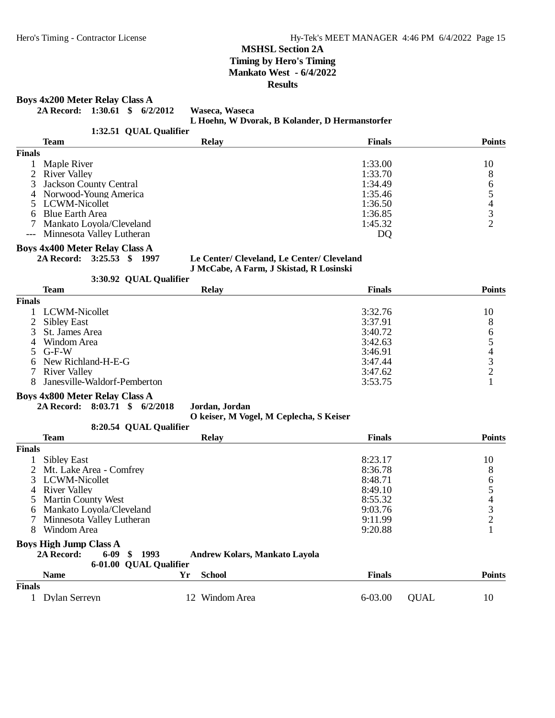#### **Boys 4x200 Meter Relay Class A**

**2A Record: 1:30.61 \$ 6/2/2012 Waseca, Waseca**

**L Hoehn, W Dvorak, B Kolander, D Hermanstorfer**

|               | 1:32.51 QUAL Qualifier        |              |               |               |
|---------------|-------------------------------|--------------|---------------|---------------|
|               | <b>Team</b>                   | <b>Relay</b> | <b>Finals</b> | <b>Points</b> |
| <b>Finals</b> |                               |              |               |               |
|               | Maple River                   |              | 1:33.00       | 10            |
|               | 2 River Valley                |              | 1:33.70       | 8             |
|               | 3 Jackson County Central      |              | 1:34.49       | 6             |
|               | 4 Norwood-Young America       |              | 1:35.46       |               |
|               | 5 LCWM-Nicollet               |              | 1:36.50       | 4             |
|               | 6 Blue Earth Area             |              | 1:36.85       | $\mathbf 3$   |
|               | Mankato Loyola/Cleveland      |              | 1:45.32       |               |
|               | --- Minnesota Valley Lutheran |              | DQ            |               |

# **Boys 4x400 Meter Relay Class A**<br>2A Record: 3:25.53 \$ 1997

**2A Record: 3:25.53 \$ 1997 Le Center/ Cleveland, Le Center/ Cleveland J McCabe, A Farm, J Skistad, R Losinski**

#### 3:30.92 QUAL Qualifier

|               | <b>Team</b>                  | <b>Relay</b> | <b>Finals</b> | <b>Points</b> |
|---------------|------------------------------|--------------|---------------|---------------|
| <b>Finals</b> |                              |              |               |               |
|               | 1 LCWM-Nicollet              |              | 3:32.76       | 10            |
|               | 2 Sibley East                |              | 3:37.91       | 8             |
|               | 3 St. James Area             |              | 3:40.72       | 6             |
| 4             | Windom Area                  |              | 3:42.63       |               |
|               | $5$ G-F-W                    |              | 3:46.91       |               |
|               | 6 New Richland-H-E-G         |              | 3:47.44       |               |
|               | <b>River Valley</b>          |              | 3:47.62       |               |
| 8             | Janesville-Waldorf-Pemberton |              | 3:53.75       |               |

#### **Boys 4x800 Meter Relay Class A**

**2A Record: 8:03.71 \$ 6/2/2018 Jordan, Jordan**

**O keiser, M Vogel, M Ceplecha, S Keiser**

|               | 8:20.54 QUAL Qualifier        |                                       |               |               |
|---------------|-------------------------------|---------------------------------------|---------------|---------------|
|               | <b>Team</b>                   | <b>Relay</b>                          | <b>Finals</b> | <b>Points</b> |
| <b>Finals</b> |                               |                                       |               |               |
|               | <b>Sibley East</b>            |                                       | 8:23.17       | 10            |
|               | 2 Mt. Lake Area - Comfrey     |                                       | 8:36.78       | 8             |
|               | 3 LCWM-Nicollet               |                                       | 8:48.71       | 6             |
| 4             | River Valley                  |                                       | 8:49.10       |               |
|               | 5 Martin County West          |                                       | 8:55.32       | 4             |
| 6             | Mankato Loyola/Cleveland      |                                       | 9:03.76       | 3             |
|               | Minnesota Valley Lutheran     |                                       | 9:11.99       | ↑             |
| 8             | Windom Area                   |                                       | 9:20.88       |               |
|               | <b>Boys High Jump Class A</b> |                                       |               |               |
|               | 2A Record:<br>6-09<br>-SS     | 1993<br>Andrew Kolars, Mankato Lavola |               |               |
|               | 6-01.00 QUAL Qualifier        |                                       |               |               |
|               | <b>Name</b>                   | Yr<br><b>School</b>                   | <b>Finals</b> | <b>Points</b> |

#### **Finals**

1 Dylan Serreyn 12 Windom Area 6-03.00 QUAL 10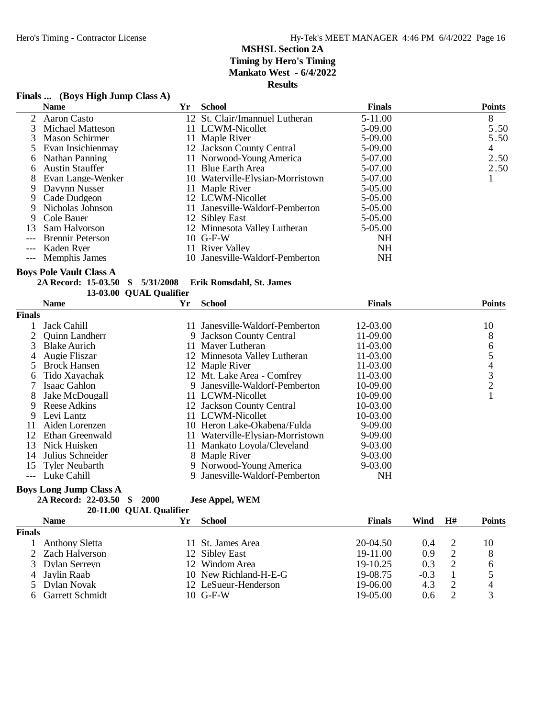### **Finals ... (Boys High Jump Class A)**

|       | <b>Name</b>             | Yr | <b>School</b>                    | <b>Finals</b> | <b>Points</b> |
|-------|-------------------------|----|----------------------------------|---------------|---------------|
|       | 2 Aaron Casto           |    | 12 St. Clair/Imannuel Lutheran   | 5-11.00       | 8             |
|       | Michael Matteson        |    | 11 LCWM-Nicollet                 | 5-09.00       | 5.50          |
|       | Mason Schirmer          |    | 11 Maple River                   | 5-09.00       | 5.50          |
|       | 5 Evan Insichienmay     |    | 12 Jackson County Central        | 5-09.00       | 4             |
|       | Nathan Panning          |    | 11 Norwood-Young America         | 5-07.00       | 2.50          |
| 6.    | <b>Austin Stauffer</b>  |    | 11 Blue Earth Area               | 5-07.00       | 2.50          |
| 8     | Evan Lange-Wenker       |    | 10 Waterville-Elysian-Morristown | 5-07.00       |               |
| 9.    | Davynn Nusser           |    | 11 Maple River                   | $5-05.00$     |               |
|       | 9 Cade Dudgeon          |    | 12 LCWM-Nicollet                 | $5-05.00$     |               |
| 9.    | Nicholas Johnson        |    | 11 Janesville-Waldorf-Pemberton  | 5-05.00       |               |
| 9.    | Cole Bauer              |    | 12 Sibley East                   | 5-05.00       |               |
| 13    | Sam Halvorson           |    | 12 Minnesota Valley Lutheran     | 5-05.00       |               |
| $---$ | <b>Brennir Peterson</b> |    | $10$ G-F-W                       | NH            |               |
|       | --- Kaden Ryer          |    | 11 River Valley                  | <b>NH</b>     |               |
|       | --- Memphis James       |    | 10 Janesville-Waldorf-Pemberton  | NΗ            |               |

#### **Boys Pole Vault Class A**

| 2A Record: 15-03.50 \$ 5/31/2008 |  |                         | Erik Romsdahl, St. James |
|----------------------------------|--|-------------------------|--------------------------|
|                                  |  | 13-03.00 OUAL Qualifier |                          |

|               | <b>Name</b>           | Yr | <b>School</b>                    | <b>Finals</b> | <b>Points</b>  |
|---------------|-----------------------|----|----------------------------------|---------------|----------------|
| <b>Finals</b> |                       |    |                                  |               |                |
|               | Jack Cahill           |    | 11 Janesville-Waldorf-Pemberton  | 12-03.00      | 10             |
|               | <b>Ouinn Landherr</b> |    | 9 Jackson County Central         | $11-09.00$    | 8              |
| 3             | <b>Blake Aurich</b>   |    | 11 Mayer Lutheran                | $11 - 03.00$  | 6              |
| 4             | Augie Fliszar         |    | 12 Minnesota Valley Lutheran     | $11 - 03.00$  |                |
| 5.            | <b>Brock Hansen</b>   |    | 12 Maple River                   | 11-03.00      | 4              |
| 6             | Tido Xayachak         |    | 12 Mt. Lake Area - Comfrey       | 11-03.00      | 3              |
|               | Isaac Gahlon          |    | 9 Janesville-Waldorf-Pemberton   | 10-09.00      | $\overline{2}$ |
| 8             | Jake McDougall        |    | 11 LCWM-Nicollet                 | 10-09.00      |                |
| 9             | Reese Adkins          |    | 12 Jackson County Central        | 10-03.00      |                |
| 9             | Levi Lantz            |    | 11 LCWM-Nicollet                 | 10-03.00      |                |
| 11            | Aiden Lorenzen        |    | 10 Heron Lake-Okabena/Fulda      | $9-09.00$     |                |
| 12            | Ethan Greenwald       |    | 11 Waterville-Elysian-Morristown | $9-09.00$     |                |
| 13            | Nick Huisken          |    | 11 Mankato Loyola/Cleveland      | $9 - 03.00$   |                |
| 14            | Julius Schneider      |    | 8 Maple River                    | $9-03.00$     |                |
| 15            | Tyler Neubarth        |    | 9 Norwood-Young America          | 9-03.00       |                |
|               | Luke Cahill           |    | Janesville-Waldorf-Pemberton     | NH            |                |

#### **Boys Long Jump Class A**

**2A Record: 22-03.50 \$ 2000 Jese Appel, WEM** 20-11.00 QUAL Qualifier

| )ualifier |  |  |
|-----------|--|--|
|           |  |  |

|               | <b>Name</b>       | Ýr | School                | <b>Finals</b> | Wind   | H# | Points |
|---------------|-------------------|----|-----------------------|---------------|--------|----|--------|
| <b>Finals</b> |                   |    |                       |               |        |    |        |
|               | Anthony Sletta    |    | 11 St. James Area     | $20-04.50$    | (0.4)  |    | 10     |
|               | 2 Zach Halverson  |    | 12 Sibley East        | 19-11.00      | 0.9    |    | 8      |
|               | 3 Dylan Serreyn   |    | 12 Windom Area        | $19-10.25$    | 0.3    |    | h      |
|               | 4 Javlin Raab     |    | 10 New Richland-H-E-G | 19-08.75      | $-0.3$ |    |        |
|               | 5 Dylan Novak     |    | 12 LeSueur-Henderson  | 19-06.00      | 4.3    |    |        |
|               | 6 Garrett Schmidt |    | $10$ G-F-W            | $19-05.00$    | 0.6    |    |        |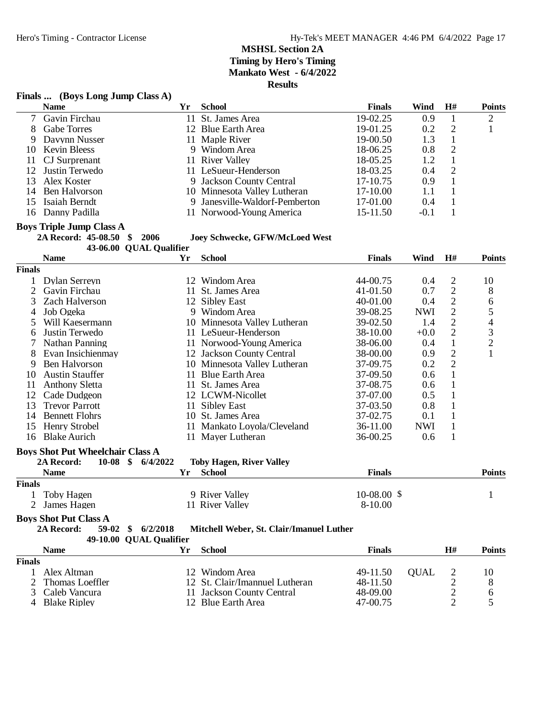#### **Finals ... (Boys Long Jump Class A)**

| <b>Name</b>        | Yr                                                                                                                       | <b>School</b> | <b>Finals</b>                                                                                                                                                                                                                                   | Wind   | H# | <b>Points</b> |
|--------------------|--------------------------------------------------------------------------------------------------------------------------|---------------|-------------------------------------------------------------------------------------------------------------------------------------------------------------------------------------------------------------------------------------------------|--------|----|---------------|
| Gavin Firchau      |                                                                                                                          |               | 19-02.25                                                                                                                                                                                                                                        | 0.9    |    |               |
| <b>Gabe Torres</b> |                                                                                                                          |               | 19-01.25                                                                                                                                                                                                                                        | 0.2    | 2  |               |
| Davynn Nusser      |                                                                                                                          |               | 19-00.50                                                                                                                                                                                                                                        | 1.3    |    |               |
|                    |                                                                                                                          |               | 18-06.25                                                                                                                                                                                                                                        | 0.8    | 2  |               |
|                    |                                                                                                                          |               | 18-05.25                                                                                                                                                                                                                                        | 1.2    |    |               |
|                    |                                                                                                                          |               | 18-03.25                                                                                                                                                                                                                                        | 0.4    | 2  |               |
|                    |                                                                                                                          |               | 17-10.75                                                                                                                                                                                                                                        | 0.9    |    |               |
| Ben Halvorson      |                                                                                                                          |               | 17-10.00                                                                                                                                                                                                                                        | 1.1    |    |               |
|                    |                                                                                                                          |               | 17-01.00                                                                                                                                                                                                                                        | 0.4    |    |               |
|                    |                                                                                                                          |               | 15-11.50                                                                                                                                                                                                                                        | $-0.1$ |    |               |
|                    | 9.<br>10 Kevin Bleess<br>11 CJ Surprenant<br>12 Justin Terwedo<br>13 Alex Koster<br>15 Isaiah Berndt<br>16 Danny Padilla |               | 11 St. James Area<br>12 Blue Earth Area<br>11 Maple River<br>9 Windom Area<br>11 River Valley<br>11 LeSueur-Henderson<br>9 Jackson County Central<br>10 Minnesota Valley Lutheran<br>9 Janesville-Waldorf-Pemberton<br>11 Norwood-Young America |        |    |               |

# **Boys Triple Jump Class A**<br>2A Record: 45-08.50 \$ 2006

 $10$  Joey Schwecke, GFW/McLoed West

**43-06.00 QUAL Qualifier**

|                | <b>Name</b>                             | Yr | <b>School</b>                            | <b>Finals</b> | Wind        | H#                      | <b>Points</b>            |
|----------------|-----------------------------------------|----|------------------------------------------|---------------|-------------|-------------------------|--------------------------|
| <b>Finals</b>  |                                         |    |                                          |               |             |                         |                          |
| $\mathbf{1}$   | Dylan Serreyn                           |    | 12 Windom Area                           | 44-00.75      | 0.4         | $\overline{c}$          | 10                       |
| $\overline{2}$ | Gavin Firchau                           | 11 | St. James Area                           | 41-01.50      | 0.7         | $\mathbf{2}$            | 8                        |
| 3              | <b>Zach Halverson</b>                   | 12 | <b>Sibley East</b>                       | 40-01.00      | 0.4         | $\overline{2}$          | 6                        |
| 4              | Job Ogeka                               | 9  | Windom Area                              | 39-08.25      | <b>NWI</b>  | $\sqrt{2}$              | 5                        |
| 5              | Will Kaesermann                         |    | 10 Minnesota Valley Lutheran             | 39-02.50      | 1.4         | $\overline{2}$          | $\overline{\mathcal{L}}$ |
| 6              | Justin Terwedo                          |    | 11 LeSueur-Henderson                     | 38-10.00      | $+0.0$      | $\sqrt{2}$              | $\frac{3}{2}$            |
|                | Nathan Panning                          |    | 11 Norwood-Young America                 | 38-06.00      | 0.4         | $\mathbf{1}$            |                          |
| 8              | Evan Insichienmay                       |    | 12 Jackson County Central                | 38-00.00      | 0.9         | $\mathbf{2}$            | $\mathbf{1}$             |
| 9              | Ben Halvorson                           |    | 10 Minnesota Valley Lutheran             | 37-09.75      | 0.2         | $\overline{2}$          |                          |
| 10             | <b>Austin Stauffer</b>                  | 11 | <b>Blue Earth Area</b>                   | 37-09.50      | 0.6         | $\mathbf{1}$            |                          |
| 11             | <b>Anthony Sletta</b>                   | 11 | St. James Area                           | 37-08.75      | 0.6         | $\mathbf{1}$            |                          |
| 12             | Cade Dudgeon                            |    | 12 LCWM-Nicollet                         | 37-07.00      | 0.5         | $\mathbf{1}$            |                          |
| 13             | <b>Trevor Parrott</b>                   | 11 | <b>Sibley East</b>                       | 37-03.50      | 0.8         | $\mathbf{1}$            |                          |
| 14             | <b>Bennett Flohrs</b>                   |    | 10 St. James Area                        | 37-02.75      | 0.1         | $\mathbf{1}$            |                          |
| 15             | Henry Strobel                           |    | 11 Mankato Loyola/Cleveland              | 36-11.00      | <b>NWI</b>  | $\mathbf{1}$            |                          |
| 16             | <b>Blake Aurich</b>                     |    | 11 Mayer Lutheran                        | 36-00.25      | 0.6         | $\mathbf{1}$            |                          |
|                | <b>Boys Shot Put Wheelchair Class A</b> |    |                                          |               |             |                         |                          |
|                | $10-08$ \$<br>2A Record:<br>6/4/2022    |    | <b>Toby Hagen, River Valley</b>          |               |             |                         |                          |
|                | <b>Name</b>                             | Yr | <b>School</b>                            | <b>Finals</b> |             |                         | <b>Points</b>            |
| <b>Finals</b>  |                                         |    |                                          |               |             |                         |                          |
|                | Toby Hagen                              |    | 9 River Valley                           | $10-08.00$ \$ |             |                         | 1                        |
| 2              | James Hagen                             |    | 11 River Valley                          | 8-10.00       |             |                         |                          |
|                | <b>Boys Shot Put Class A</b>            |    |                                          |               |             |                         |                          |
|                | 2A Record:<br>\$<br>6/2/2018<br>59-02   |    | Mitchell Weber, St. Clair/Imanuel Luther |               |             |                         |                          |
|                | <b>QUAL Qualifier</b><br>49-10.00       |    |                                          |               |             |                         |                          |
|                | <b>Name</b>                             | Yr | <b>School</b>                            | <b>Finals</b> |             | H#                      | <b>Points</b>            |
| <b>Finals</b>  |                                         |    |                                          |               |             |                         |                          |
|                | Alex Altman                             |    | 12 Windom Area                           | 49-11.50      | <b>QUAL</b> | $\overline{c}$          | 10                       |
| 2              | Thomas Loeffler                         |    | 12 St. Clair/Imannuel Lutheran           | 48-11.50      |             | $\overline{\mathbf{c}}$ | 8                        |
| 3              | Caleb Vancura                           |    | 11 Jackson County Central                | 48-09.00      |             | $\overline{2}$          | 6                        |

2 Thomas Loeffler 12 St. Clair/Imannuel Lutheran 48-11.50 2 8<br>3 Caleb Vancura 11 Jackson County Central 48-09.00 2 6 3 Caleb Vancura 11 Jackson County Central 48-09.00 2 6<br>
4 Blake Ripley 12 Blue Earth Area 47-00.75 2 5

12 Blue Earth Area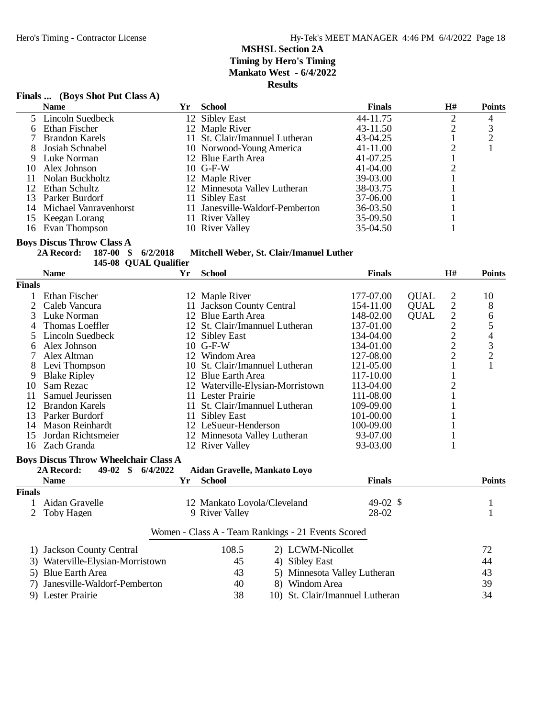### **Finals ... (Boys Shot Put Class A)**

|     | <b>Name</b>              | Yr | <b>School</b>                   | <b>Finals</b> | H# | <b>Points</b> |
|-----|--------------------------|----|---------------------------------|---------------|----|---------------|
|     | 5 Lincoln Suedbeck       |    | 12 Sibley East                  | 44-11.75      |    | 4             |
|     | 6 Ethan Fischer          |    | 12 Maple River                  | 43-11.50      |    | 3             |
|     | 7 Brandon Karels         |    | 11 St. Clair/Imannuel Lutheran  | 43-04.25      |    |               |
|     | Josiah Schnabel          |    | 10 Norwood-Young America        | 41-11.00      |    |               |
|     | 9 Luke Norman            |    | 12 Blue Earth Area              | 41-07.25      |    |               |
| 10  | Alex Johnson             |    | $10$ G-F-W                      | 41-04.00      |    |               |
|     | Nolan Buckholtz          |    | 12 Maple River                  | 39-03.00      |    |               |
|     | 12 Ethan Schultz         |    | 12 Minnesota Valley Lutheran    | 38-03.75      |    |               |
|     | 13 Parker Burdorf        |    | 11 Sibley East                  | 37-06.00      |    |               |
|     | 14 Michael Vanravenhorst |    | 11 Janesville-Waldorf-Pemberton | 36-03.50      |    |               |
| 15. | Keegan Lorang            |    | 11 River Valley                 | 35-09.50      |    |               |
| 16  | Evan Thompson            |    | 10 River Valley                 | 35-04.50      |    |               |

#### **Boys Discus Throw Class A**

**2A Record: 187-00 \$ 6/2/2018 Mitchell Weber, St. Clair/Imanuel Luther**

| 145-08 QUAL Qualifier                              |                                             |          |                                  |  |                                 |                     |             |                  |               |
|----------------------------------------------------|---------------------------------------------|----------|----------------------------------|--|---------------------------------|---------------------|-------------|------------------|---------------|
|                                                    | <b>Name</b>                                 | Yr       | <b>School</b>                    |  |                                 | <b>Finals</b>       |             | H#               | <b>Points</b> |
| <b>Finals</b>                                      |                                             |          |                                  |  |                                 |                     |             |                  |               |
|                                                    | Ethan Fischer                               |          | 12 Maple River                   |  | 177-07.00                       |                     | <b>QUAL</b> | $\overline{c}$   | 10            |
| 2                                                  | Caleb Vancura                               |          | 11 Jackson County Central        |  | 154-11.00                       |                     | <b>QUAL</b> |                  | 8             |
| 3                                                  | Luke Norman                                 |          | 12 Blue Earth Area               |  | 148-02.00                       |                     | <b>OUAL</b> | $22222$<br>$222$ | 6             |
|                                                    | Thomas Loeffler                             |          | 12 St. Clair/Imannuel Lutheran   |  | 137-01.00                       |                     |             |                  | 5             |
| 5                                                  | Lincoln Suedbeck                            |          | 12 Sibley East                   |  | 134-04.00                       |                     |             |                  |               |
| 6                                                  | Alex Johnson                                |          | 10 G-F-W                         |  | 134-01.00                       |                     |             |                  | $\frac{4}{3}$ |
|                                                    | Alex Altman                                 |          | 12 Windom Area                   |  | 127-08.00                       |                     |             |                  |               |
| 8                                                  | Levi Thompson                               |          | 10 St. Clair/Imannuel Lutheran   |  | 121-05.00                       |                     |             | $\mathbf{1}$     | $\mathbf{1}$  |
| 9                                                  | <b>Blake Ripley</b>                         |          | 12 Blue Earth Area               |  | 117-10.00                       |                     |             | $\mathbf{1}$     |               |
| 10                                                 | Sam Rezac                                   |          | 12 Waterville-Elysian-Morristown |  | 113-04.00                       |                     |             | $\overline{2}$   |               |
| 11                                                 | Samuel Jeurissen                            |          | 11 Lester Prairie                |  | 111-08.00                       |                     |             | $\mathbf{1}$     |               |
| 12                                                 | <b>Brandon Karels</b>                       |          | 11 St. Clair/Imannuel Lutheran   |  | 109-09.00                       |                     |             | $\mathbf{1}$     |               |
| 13                                                 | Parker Burdorf                              |          | 11 Sibley East                   |  | 101-00.00                       |                     |             | $\mathbf{1}$     |               |
| 14                                                 | Mason Reinhardt                             |          | 12 LeSueur-Henderson             |  | 100-09.00                       |                     |             | $\mathbf{1}$     |               |
| 15                                                 | Jordan Richtsmeier                          |          | 12 Minnesota Valley Lutheran     |  | 93-07.00                        |                     |             |                  |               |
| 16                                                 | Zach Granda                                 |          | 12 River Valley                  |  | 93-03.00                        |                     |             | $\mathbf{1}$     |               |
|                                                    | <b>Boys Discus Throw Wheelchair Class A</b> |          |                                  |  |                                 |                     |             |                  |               |
|                                                    | $49-02 \quad$ \$<br>2A Record:              | 6/4/2022 | Aidan Gravelle, Mankato Loyo     |  |                                 |                     |             |                  |               |
|                                                    | <b>Name</b>                                 | Yr       | <b>School</b>                    |  |                                 | <b>Finals</b>       |             |                  | <b>Points</b> |
| <b>Finals</b>                                      |                                             |          |                                  |  |                                 |                     |             |                  |               |
|                                                    | Aidan Gravelle                              |          | 12 Mankato Loyola/Cleveland      |  |                                 | 49-02 $\frac{1}{2}$ |             |                  | $\mathbf{1}$  |
| 2                                                  | Toby Hagen                                  |          | 9 River Valley                   |  |                                 | 28-02               |             |                  | $\mathbf{1}$  |
|                                                    |                                             |          |                                  |  |                                 |                     |             |                  |               |
| Women - Class A - Team Rankings - 21 Events Scored |                                             |          |                                  |  |                                 |                     |             |                  |               |
|                                                    | 1) Jackson County Central                   |          | 108.5                            |  | 2) LCWM-Nicollet                |                     |             |                  | 72            |
|                                                    | 3) Waterville-Elysian-Morristown            |          | 45                               |  | 4) Sibley East                  |                     |             |                  | 44            |
|                                                    | 5) Blue Earth Area                          |          | 43                               |  | 5) Minnesota Valley Lutheran    |                     |             |                  | 43            |
|                                                    | 7) Janesville-Waldorf-Pemberton             |          | 40                               |  | 8) Windom Area                  |                     |             |                  | 39            |
|                                                    |                                             |          | 38                               |  |                                 |                     |             |                  | 34            |
|                                                    | 9) Lester Prairie                           |          |                                  |  | 10) St. Clair/Imannuel Lutheran |                     |             |                  |               |